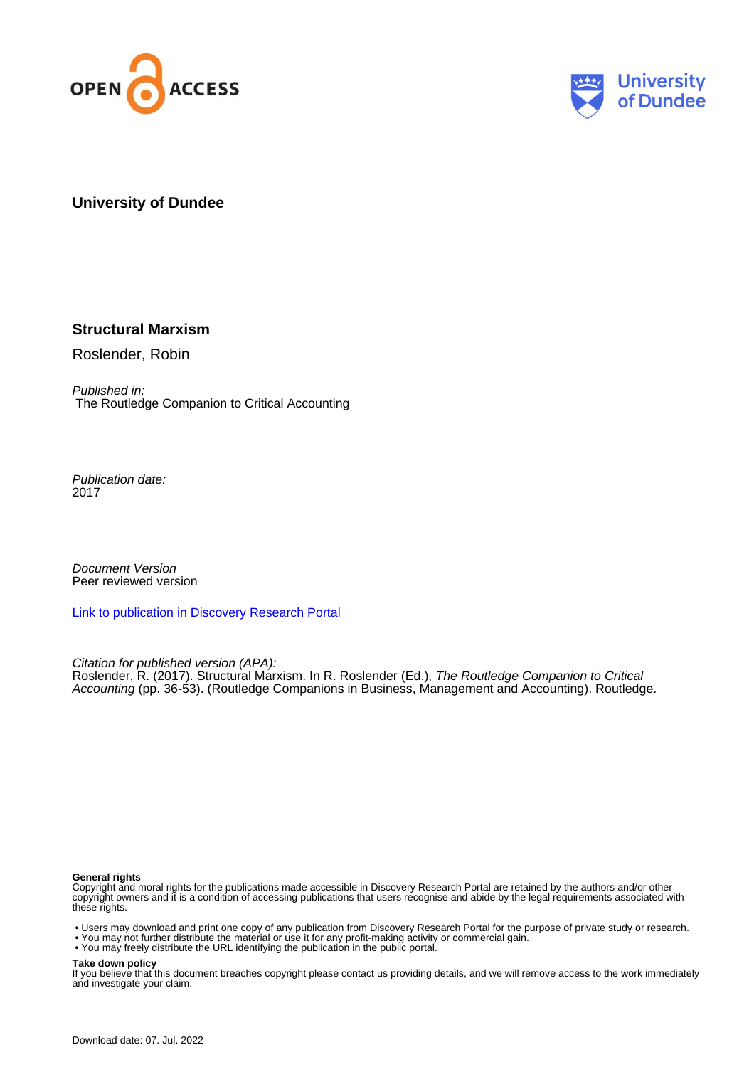



#### **University of Dundee**

#### **Structural Marxism**

Roslender, Robin

Published in: The Routledge Companion to Critical Accounting

Publication date: 2017

Document Version Peer reviewed version

[Link to publication in Discovery Research Portal](https://discovery.dundee.ac.uk/en/publications/10a337a2-14db-4709-81ed-8a0207e48c1c)

Citation for published version (APA): Roslender, R. (2017). Structural Marxism. In R. Roslender (Ed.), The Routledge Companion to Critical Accounting (pp. 36-53). (Routledge Companions in Business, Management and Accounting). Routledge.

#### **General rights**

Copyright and moral rights for the publications made accessible in Discovery Research Portal are retained by the authors and/or other copyright owners and it is a condition of accessing publications that users recognise and abide by the legal requirements associated with these rights.

- Users may download and print one copy of any publication from Discovery Research Portal for the purpose of private study or research.
- You may not further distribute the material or use it for any profit-making activity or commercial gain.
- You may freely distribute the URL identifying the publication in the public portal.

#### **Take down policy**

If you believe that this document breaches copyright please contact us providing details, and we will remove access to the work immediately and investigate your claim.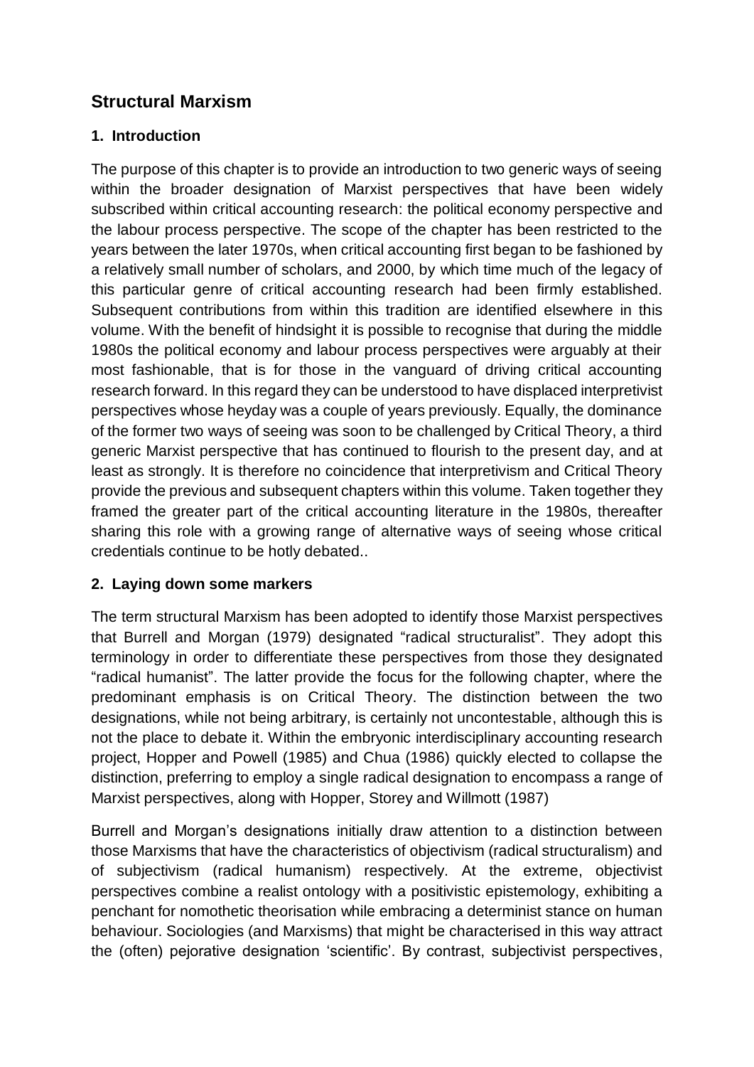# **Structural Marxism**

# **1. Introduction**

The purpose of this chapter is to provide an introduction to two generic ways of seeing within the broader designation of Marxist perspectives that have been widely subscribed within critical accounting research: the political economy perspective and the labour process perspective. The scope of the chapter has been restricted to the years between the later 1970s, when critical accounting first began to be fashioned by a relatively small number of scholars, and 2000, by which time much of the legacy of this particular genre of critical accounting research had been firmly established. Subsequent contributions from within this tradition are identified elsewhere in this volume. With the benefit of hindsight it is possible to recognise that during the middle 1980s the political economy and labour process perspectives were arguably at their most fashionable, that is for those in the vanguard of driving critical accounting research forward. In this regard they can be understood to have displaced interpretivist perspectives whose heyday was a couple of years previously. Equally, the dominance of the former two ways of seeing was soon to be challenged by Critical Theory, a third generic Marxist perspective that has continued to flourish to the present day, and at least as strongly. It is therefore no coincidence that interpretivism and Critical Theory provide the previous and subsequent chapters within this volume. Taken together they framed the greater part of the critical accounting literature in the 1980s, thereafter sharing this role with a growing range of alternative ways of seeing whose critical credentials continue to be hotly debated..

## **2. Laying down some markers**

The term structural Marxism has been adopted to identify those Marxist perspectives that Burrell and Morgan (1979) designated "radical structuralist". They adopt this terminology in order to differentiate these perspectives from those they designated "radical humanist". The latter provide the focus for the following chapter, where the predominant emphasis is on Critical Theory. The distinction between the two designations, while not being arbitrary, is certainly not uncontestable, although this is not the place to debate it. Within the embryonic interdisciplinary accounting research project, Hopper and Powell (1985) and Chua (1986) quickly elected to collapse the distinction, preferring to employ a single radical designation to encompass a range of Marxist perspectives, along with Hopper, Storey and Willmott (1987)

Burrell and Morgan's designations initially draw attention to a distinction between those Marxisms that have the characteristics of objectivism (radical structuralism) and of subjectivism (radical humanism) respectively. At the extreme, objectivist perspectives combine a realist ontology with a positivistic epistemology, exhibiting a penchant for nomothetic theorisation while embracing a determinist stance on human behaviour. Sociologies (and Marxisms) that might be characterised in this way attract the (often) pejorative designation 'scientific'. By contrast, subjectivist perspectives,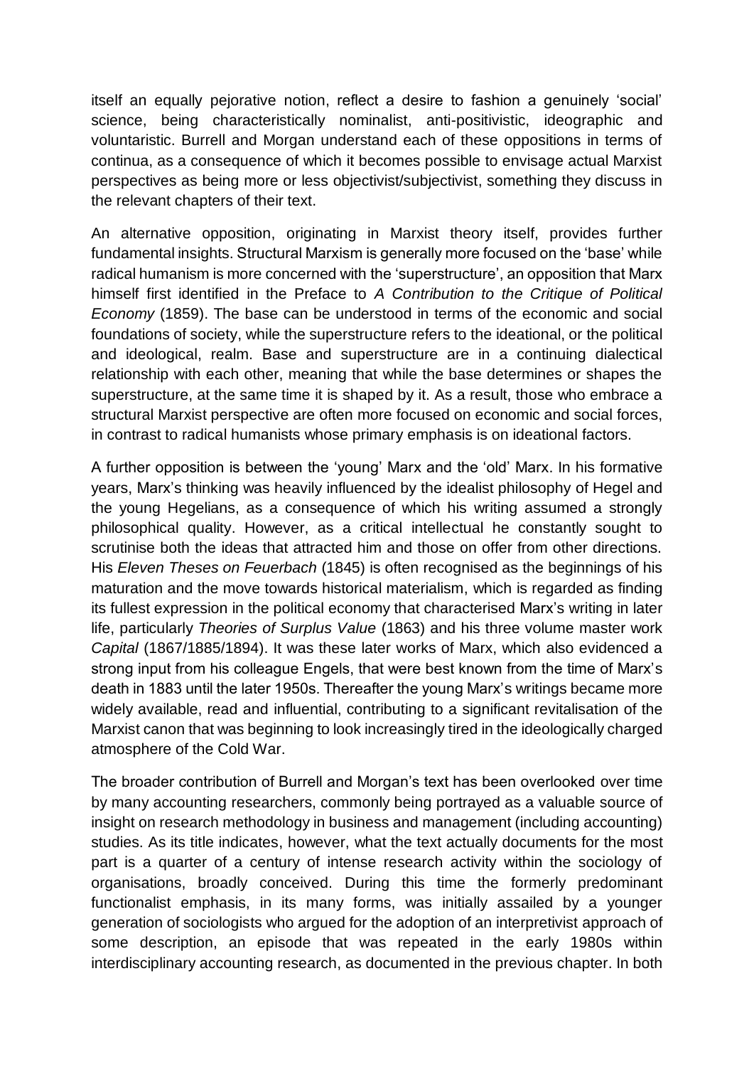itself an equally pejorative notion, reflect a desire to fashion a genuinely 'social' science, being characteristically nominalist, anti-positivistic, ideographic and voluntaristic. Burrell and Morgan understand each of these oppositions in terms of continua, as a consequence of which it becomes possible to envisage actual Marxist perspectives as being more or less objectivist/subjectivist, something they discuss in the relevant chapters of their text.

An alternative opposition, originating in Marxist theory itself, provides further fundamental insights. Structural Marxism is generally more focused on the 'base' while radical humanism is more concerned with the 'superstructure', an opposition that Marx himself first identified in the Preface to *A Contribution to the Critique of Political Economy* (1859). The base can be understood in terms of the economic and social foundations of society, while the superstructure refers to the ideational, or the political and ideological, realm. Base and superstructure are in a continuing dialectical relationship with each other, meaning that while the base determines or shapes the superstructure, at the same time it is shaped by it. As a result, those who embrace a structural Marxist perspective are often more focused on economic and social forces, in contrast to radical humanists whose primary emphasis is on ideational factors.

A further opposition is between the 'young' Marx and the 'old' Marx. In his formative years, Marx's thinking was heavily influenced by the idealist philosophy of Hegel and the young Hegelians, as a consequence of which his writing assumed a strongly philosophical quality. However, as a critical intellectual he constantly sought to scrutinise both the ideas that attracted him and those on offer from other directions. His *Eleven Theses on Feuerbach* (1845) is often recognised as the beginnings of his maturation and the move towards historical materialism, which is regarded as finding its fullest expression in the political economy that characterised Marx's writing in later life, particularly *Theories of Surplus Value* (1863) and his three volume master work *Capital* (1867/1885/1894). It was these later works of Marx, which also evidenced a strong input from his colleague Engels, that were best known from the time of Marx's death in 1883 until the later 1950s. Thereafter the young Marx's writings became more widely available, read and influential, contributing to a significant revitalisation of the Marxist canon that was beginning to look increasingly tired in the ideologically charged atmosphere of the Cold War.

The broader contribution of Burrell and Morgan's text has been overlooked over time by many accounting researchers, commonly being portrayed as a valuable source of insight on research methodology in business and management (including accounting) studies. As its title indicates, however, what the text actually documents for the most part is a quarter of a century of intense research activity within the sociology of organisations, broadly conceived. During this time the formerly predominant functionalist emphasis, in its many forms, was initially assailed by a younger generation of sociologists who argued for the adoption of an interpretivist approach of some description, an episode that was repeated in the early 1980s within interdisciplinary accounting research, as documented in the previous chapter. In both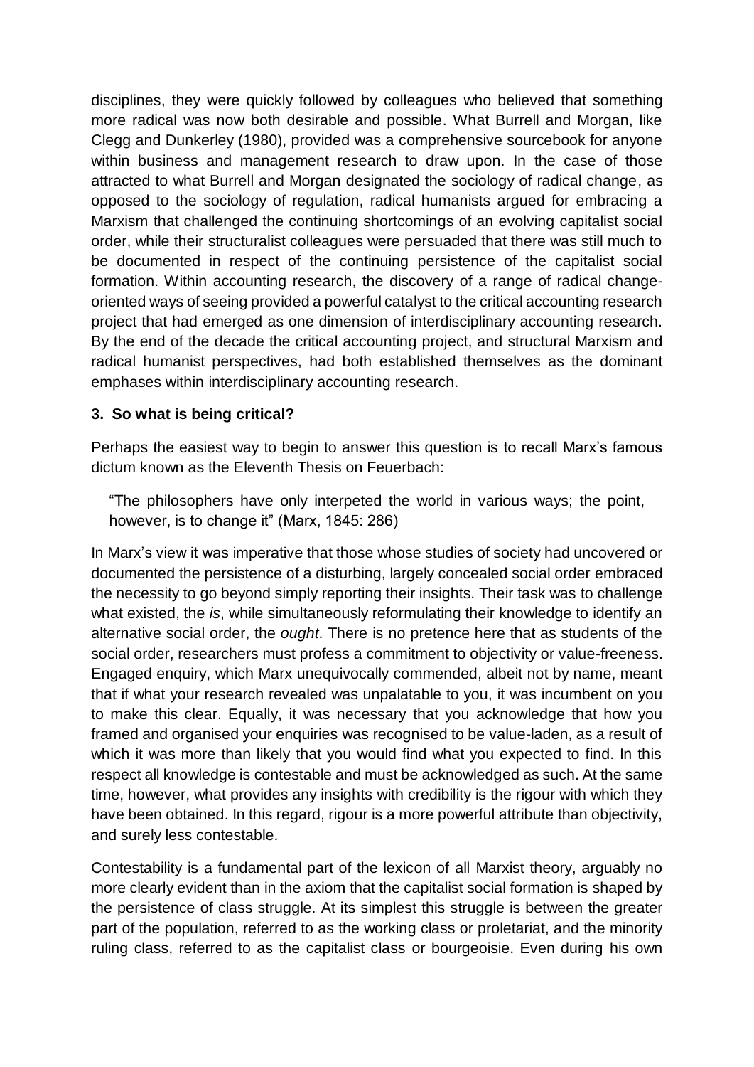disciplines, they were quickly followed by colleagues who believed that something more radical was now both desirable and possible. What Burrell and Morgan, like Clegg and Dunkerley (1980), provided was a comprehensive sourcebook for anyone within business and management research to draw upon. In the case of those attracted to what Burrell and Morgan designated the sociology of radical change, as opposed to the sociology of regulation, radical humanists argued for embracing a Marxism that challenged the continuing shortcomings of an evolving capitalist social order, while their structuralist colleagues were persuaded that there was still much to be documented in respect of the continuing persistence of the capitalist social formation. Within accounting research, the discovery of a range of radical changeoriented ways of seeing provided a powerful catalyst to the critical accounting research project that had emerged as one dimension of interdisciplinary accounting research. By the end of the decade the critical accounting project, and structural Marxism and radical humanist perspectives, had both established themselves as the dominant emphases within interdisciplinary accounting research.

#### **3. So what is being critical?**

Perhaps the easiest way to begin to answer this question is to recall Marx's famous dictum known as the Eleventh Thesis on Feuerbach:

"The philosophers have only interpeted the world in various ways; the point, however, is to change it" (Marx, 1845: 286)

In Marx's view it was imperative that those whose studies of society had uncovered or documented the persistence of a disturbing, largely concealed social order embraced the necessity to go beyond simply reporting their insights. Their task was to challenge what existed, the *is*, while simultaneously reformulating their knowledge to identify an alternative social order, the *ought*. There is no pretence here that as students of the social order, researchers must profess a commitment to objectivity or value-freeness. Engaged enquiry, which Marx unequivocally commended, albeit not by name, meant that if what your research revealed was unpalatable to you, it was incumbent on you to make this clear. Equally, it was necessary that you acknowledge that how you framed and organised your enquiries was recognised to be value-laden, as a result of which it was more than likely that you would find what you expected to find. In this respect all knowledge is contestable and must be acknowledged as such. At the same time, however, what provides any insights with credibility is the rigour with which they have been obtained. In this regard, rigour is a more powerful attribute than objectivity, and surely less contestable.

Contestability is a fundamental part of the lexicon of all Marxist theory, arguably no more clearly evident than in the axiom that the capitalist social formation is shaped by the persistence of class struggle. At its simplest this struggle is between the greater part of the population, referred to as the working class or proletariat, and the minority ruling class, referred to as the capitalist class or bourgeoisie. Even during his own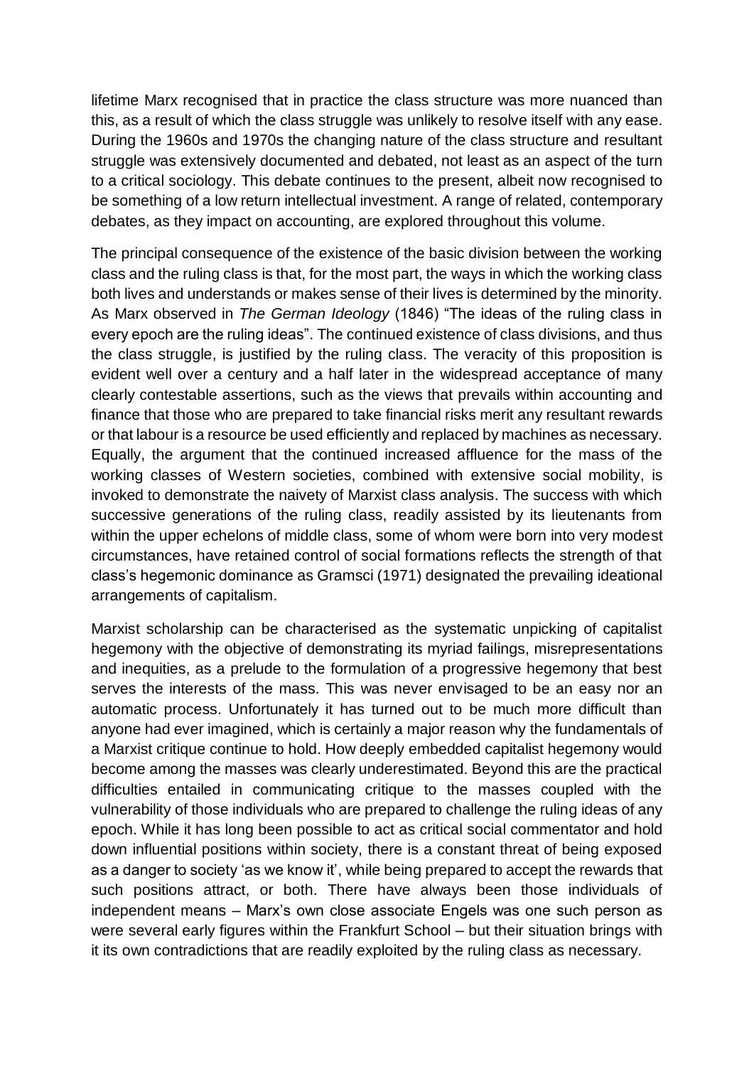lifetime Marx recognised that in practice the class structure was more nuanced than this, as a result of which the class struggle was unlikely to resolve itself with any ease. During the 1960s and 1970s the changing nature of the class structure and resultant struggle was extensively documented and debated, not least as an aspect of the turn to a critical sociology. This debate continues to the present, albeit now recognised to be something of a low return intellectual investment. A range of related, contemporary debates, as they impact on accounting, are explored throughout this volume.

The principal consequence of the existence of the basic division between the working class and the ruling class is that, for the most part, the ways in which the working class both lives and understands or makes sense of their lives is determined by the minority. As Marx observed in *The German Ideology* (1846) "The ideas of the ruling class in every epoch are the ruling ideas". The continued existence of class divisions, and thus the class struggle, is justified by the ruling class. The veracity of this proposition is evident well over a century and a half later in the widespread acceptance of many clearly contestable assertions, such as the views that prevails within accounting and finance that those who are prepared to take financial risks merit any resultant rewards or that labour is a resource be used efficiently and replaced by machines as necessary. Equally, the argument that the continued increased affluence for the mass of the working classes of Western societies, combined with extensive social mobility, is invoked to demonstrate the naivety of Marxist class analysis. The success with which successive generations of the ruling class, readily assisted by its lieutenants from within the upper echelons of middle class, some of whom were born into very modest circumstances, have retained control of social formations reflects the strength of that class's hegemonic dominance as Gramsci (1971) designated the prevailing ideational arrangements of capitalism.

Marxist scholarship can be characterised as the systematic unpicking of capitalist hegemony with the objective of demonstrating its myriad failings, misrepresentations and inequities, as a prelude to the formulation of a progressive hegemony that best serves the interests of the mass. This was never envisaged to be an easy nor an automatic process. Unfortunately it has turned out to be much more difficult than anyone had ever imagined, which is certainly a major reason why the fundamentals of a Marxist critique continue to hold. How deeply embedded capitalist hegemony would become among the masses was clearly underestimated. Beyond this are the practical difficulties entailed in communicating critique to the masses coupled with the vulnerability of those individuals who are prepared to challenge the ruling ideas of any epoch. While it has long been possible to act as critical social commentator and hold down influential positions within society, there is a constant threat of being exposed as a danger to society 'as we know it', while being prepared to accept the rewards that such positions attract, or both. There have always been those individuals of independent means – Marx's own close associate Engels was one such person as were several early figures within the Frankfurt School – but their situation brings with it its own contradictions that are readily exploited by the ruling class as necessary.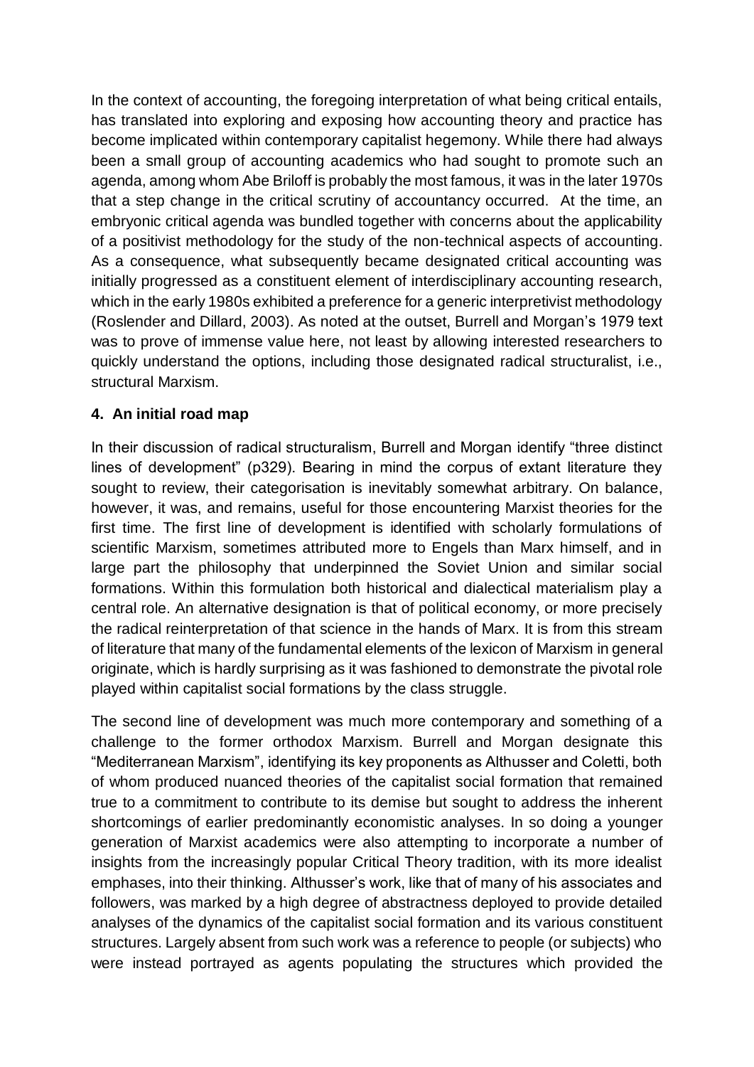In the context of accounting, the foregoing interpretation of what being critical entails, has translated into exploring and exposing how accounting theory and practice has become implicated within contemporary capitalist hegemony. While there had always been a small group of accounting academics who had sought to promote such an agenda, among whom Abe Briloff is probably the most famous, it was in the later 1970s that a step change in the critical scrutiny of accountancy occurred. At the time, an embryonic critical agenda was bundled together with concerns about the applicability of a positivist methodology for the study of the non-technical aspects of accounting. As a consequence, what subsequently became designated critical accounting was initially progressed as a constituent element of interdisciplinary accounting research, which in the early 1980s exhibited a preference for a generic interpretivist methodology (Roslender and Dillard, 2003). As noted at the outset, Burrell and Morgan's 1979 text was to prove of immense value here, not least by allowing interested researchers to quickly understand the options, including those designated radical structuralist, i.e., structural Marxism.

#### **4. An initial road map**

In their discussion of radical structuralism, Burrell and Morgan identify "three distinct lines of development" (p329). Bearing in mind the corpus of extant literature they sought to review, their categorisation is inevitably somewhat arbitrary. On balance, however, it was, and remains, useful for those encountering Marxist theories for the first time. The first line of development is identified with scholarly formulations of scientific Marxism, sometimes attributed more to Engels than Marx himself, and in large part the philosophy that underpinned the Soviet Union and similar social formations. Within this formulation both historical and dialectical materialism play a central role. An alternative designation is that of political economy, or more precisely the radical reinterpretation of that science in the hands of Marx. It is from this stream of literature that many of the fundamental elements of the lexicon of Marxism in general originate, which is hardly surprising as it was fashioned to demonstrate the pivotal role played within capitalist social formations by the class struggle.

The second line of development was much more contemporary and something of a challenge to the former orthodox Marxism. Burrell and Morgan designate this "Mediterranean Marxism", identifying its key proponents as Althusser and Coletti, both of whom produced nuanced theories of the capitalist social formation that remained true to a commitment to contribute to its demise but sought to address the inherent shortcomings of earlier predominantly economistic analyses. In so doing a younger generation of Marxist academics were also attempting to incorporate a number of insights from the increasingly popular Critical Theory tradition, with its more idealist emphases, into their thinking. Althusser's work, like that of many of his associates and followers, was marked by a high degree of abstractness deployed to provide detailed analyses of the dynamics of the capitalist social formation and its various constituent structures. Largely absent from such work was a reference to people (or subjects) who were instead portrayed as agents populating the structures which provided the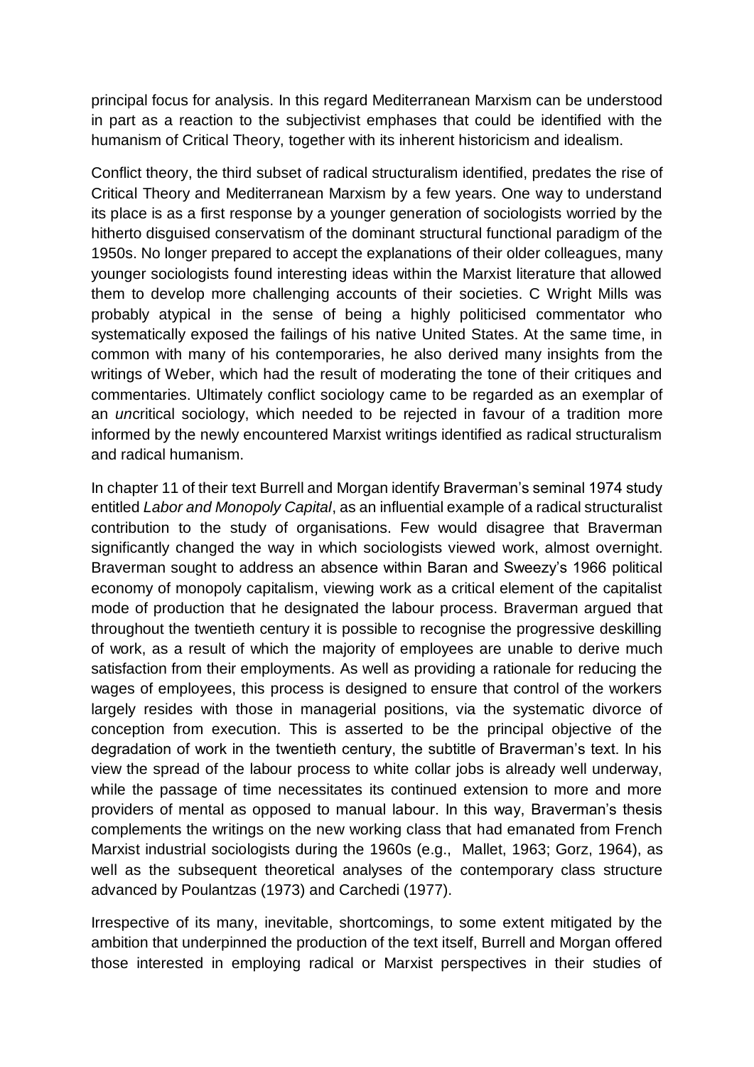principal focus for analysis. In this regard Mediterranean Marxism can be understood in part as a reaction to the subjectivist emphases that could be identified with the humanism of Critical Theory, together with its inherent historicism and idealism.

Conflict theory, the third subset of radical structuralism identified, predates the rise of Critical Theory and Mediterranean Marxism by a few years. One way to understand its place is as a first response by a younger generation of sociologists worried by the hitherto disguised conservatism of the dominant structural functional paradigm of the 1950s. No longer prepared to accept the explanations of their older colleagues, many younger sociologists found interesting ideas within the Marxist literature that allowed them to develop more challenging accounts of their societies. C Wright Mills was probably atypical in the sense of being a highly politicised commentator who systematically exposed the failings of his native United States. At the same time, in common with many of his contemporaries, he also derived many insights from the writings of Weber, which had the result of moderating the tone of their critiques and commentaries. Ultimately conflict sociology came to be regarded as an exemplar of an *un*critical sociology, which needed to be rejected in favour of a tradition more informed by the newly encountered Marxist writings identified as radical structuralism and radical humanism.

In chapter 11 of their text Burrell and Morgan identify Braverman's seminal 1974 study entitled *Labor and Monopoly Capital*, as an influential example of a radical structuralist contribution to the study of organisations. Few would disagree that Braverman significantly changed the way in which sociologists viewed work, almost overnight. Braverman sought to address an absence within Baran and Sweezy's 1966 political economy of monopoly capitalism, viewing work as a critical element of the capitalist mode of production that he designated the labour process. Braverman argued that throughout the twentieth century it is possible to recognise the progressive deskilling of work, as a result of which the majority of employees are unable to derive much satisfaction from their employments. As well as providing a rationale for reducing the wages of employees, this process is designed to ensure that control of the workers largely resides with those in managerial positions, via the systematic divorce of conception from execution. This is asserted to be the principal objective of the degradation of work in the twentieth century, the subtitle of Braverman's text. In his view the spread of the labour process to white collar jobs is already well underway, while the passage of time necessitates its continued extension to more and more providers of mental as opposed to manual labour. In this way, Braverman's thesis complements the writings on the new working class that had emanated from French Marxist industrial sociologists during the 1960s (e.g., Mallet, 1963; Gorz, 1964), as well as the subsequent theoretical analyses of the contemporary class structure advanced by Poulantzas (1973) and Carchedi (1977).

Irrespective of its many, inevitable, shortcomings, to some extent mitigated by the ambition that underpinned the production of the text itself, Burrell and Morgan offered those interested in employing radical or Marxist perspectives in their studies of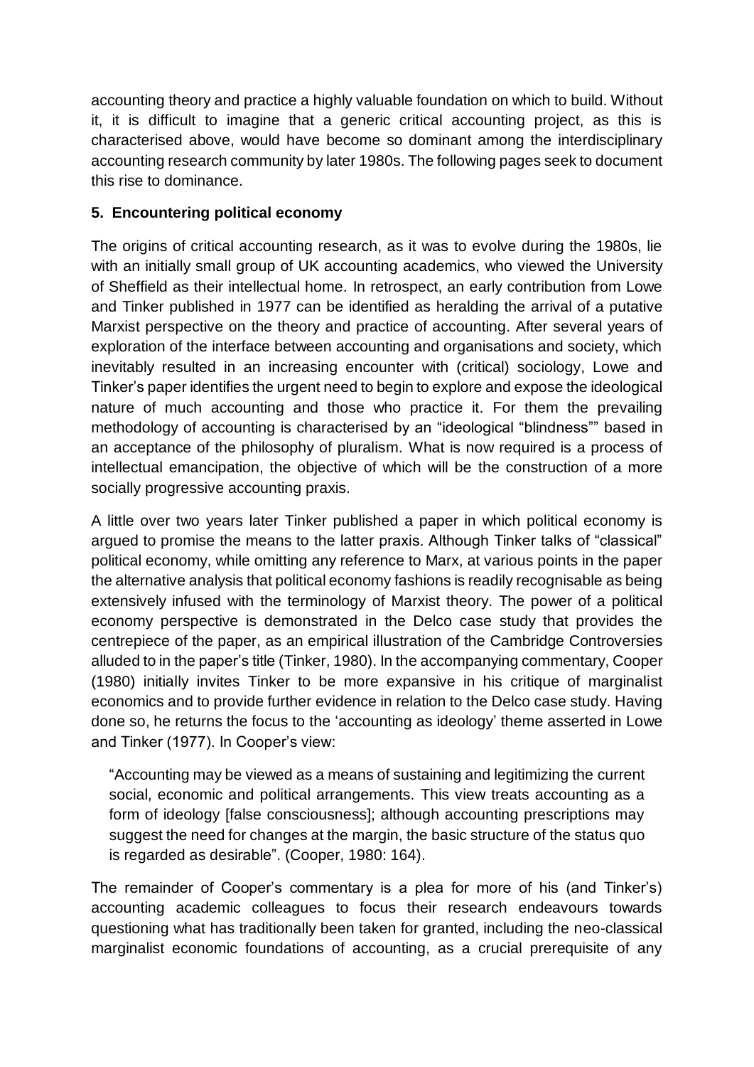accounting theory and practice a highly valuable foundation on which to build. Without it, it is difficult to imagine that a generic critical accounting project, as this is characterised above, would have become so dominant among the interdisciplinary accounting research community by later 1980s. The following pages seek to document this rise to dominance.

### **5. Encountering political economy**

The origins of critical accounting research, as it was to evolve during the 1980s, lie with an initially small group of UK accounting academics, who viewed the University of Sheffield as their intellectual home. In retrospect, an early contribution from Lowe and Tinker published in 1977 can be identified as heralding the arrival of a putative Marxist perspective on the theory and practice of accounting. After several years of exploration of the interface between accounting and organisations and society, which inevitably resulted in an increasing encounter with (critical) sociology, Lowe and Tinker's paper identifies the urgent need to begin to explore and expose the ideological nature of much accounting and those who practice it. For them the prevailing methodology of accounting is characterised by an "ideological "blindness"" based in an acceptance of the philosophy of pluralism. What is now required is a process of intellectual emancipation, the objective of which will be the construction of a more socially progressive accounting praxis.

A little over two years later Tinker published a paper in which political economy is argued to promise the means to the latter praxis. Although Tinker talks of "classical" political economy, while omitting any reference to Marx, at various points in the paper the alternative analysis that political economy fashions is readily recognisable as being extensively infused with the terminology of Marxist theory. The power of a political economy perspective is demonstrated in the Delco case study that provides the centrepiece of the paper, as an empirical illustration of the Cambridge Controversies alluded to in the paper's title (Tinker, 1980). In the accompanying commentary, Cooper (1980) initially invites Tinker to be more expansive in his critique of marginalist economics and to provide further evidence in relation to the Delco case study. Having done so, he returns the focus to the 'accounting as ideology' theme asserted in Lowe and Tinker (1977). In Cooper's view:

"Accounting may be viewed as a means of sustaining and legitimizing the current social, economic and political arrangements. This view treats accounting as a form of ideology [false consciousness]; although accounting prescriptions may suggest the need for changes at the margin, the basic structure of the status quo is regarded as desirable". (Cooper, 1980: 164).

The remainder of Cooper's commentary is a plea for more of his (and Tinker's) accounting academic colleagues to focus their research endeavours towards questioning what has traditionally been taken for granted, including the neo-classical marginalist economic foundations of accounting, as a crucial prerequisite of any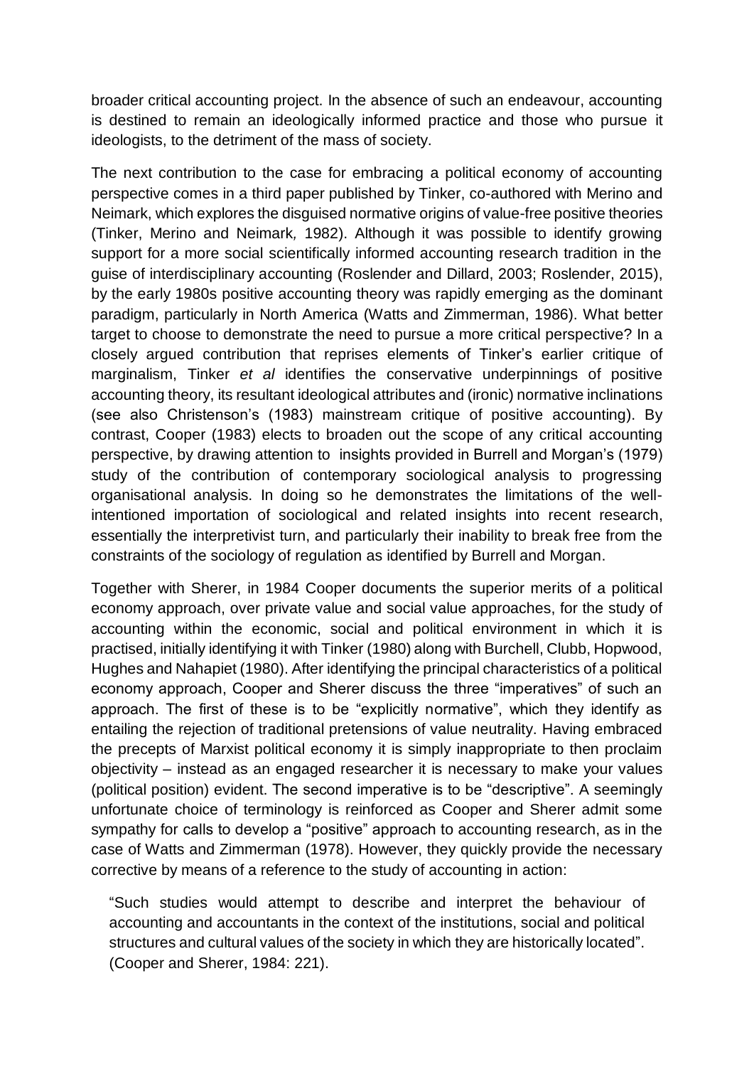broader critical accounting project. In the absence of such an endeavour, accounting is destined to remain an ideologically informed practice and those who pursue it ideologists, to the detriment of the mass of society.

The next contribution to the case for embracing a political economy of accounting perspective comes in a third paper published by Tinker, co-authored with Merino and Neimark, which explores the disguised normative origins of value-free positive theories (Tinker, Merino and Neimark*,* 1982). Although it was possible to identify growing support for a more social scientifically informed accounting research tradition in the guise of interdisciplinary accounting (Roslender and Dillard, 2003; Roslender, 2015), by the early 1980s positive accounting theory was rapidly emerging as the dominant paradigm, particularly in North America (Watts and Zimmerman, 1986). What better target to choose to demonstrate the need to pursue a more critical perspective? In a closely argued contribution that reprises elements of Tinker's earlier critique of marginalism, Tinker *et al* identifies the conservative underpinnings of positive accounting theory, its resultant ideological attributes and (ironic) normative inclinations (see also Christenson's (1983) mainstream critique of positive accounting). By contrast, Cooper (1983) elects to broaden out the scope of any critical accounting perspective, by drawing attention to insights provided in Burrell and Morgan's (1979) study of the contribution of contemporary sociological analysis to progressing organisational analysis. In doing so he demonstrates the limitations of the wellintentioned importation of sociological and related insights into recent research, essentially the interpretivist turn, and particularly their inability to break free from the constraints of the sociology of regulation as identified by Burrell and Morgan.

Together with Sherer, in 1984 Cooper documents the superior merits of a political economy approach, over private value and social value approaches, for the study of accounting within the economic, social and political environment in which it is practised, initially identifying it with Tinker (1980) along with Burchell, Clubb, Hopwood, Hughes and Nahapiet (1980). After identifying the principal characteristics of a political economy approach, Cooper and Sherer discuss the three "imperatives" of such an approach. The first of these is to be "explicitly normative", which they identify as entailing the rejection of traditional pretensions of value neutrality. Having embraced the precepts of Marxist political economy it is simply inappropriate to then proclaim objectivity – instead as an engaged researcher it is necessary to make your values (political position) evident. The second imperative is to be "descriptive". A seemingly unfortunate choice of terminology is reinforced as Cooper and Sherer admit some sympathy for calls to develop a "positive" approach to accounting research, as in the case of Watts and Zimmerman (1978). However, they quickly provide the necessary corrective by means of a reference to the study of accounting in action:

"Such studies would attempt to describe and interpret the behaviour of accounting and accountants in the context of the institutions, social and political structures and cultural values of the society in which they are historically located". (Cooper and Sherer, 1984: 221).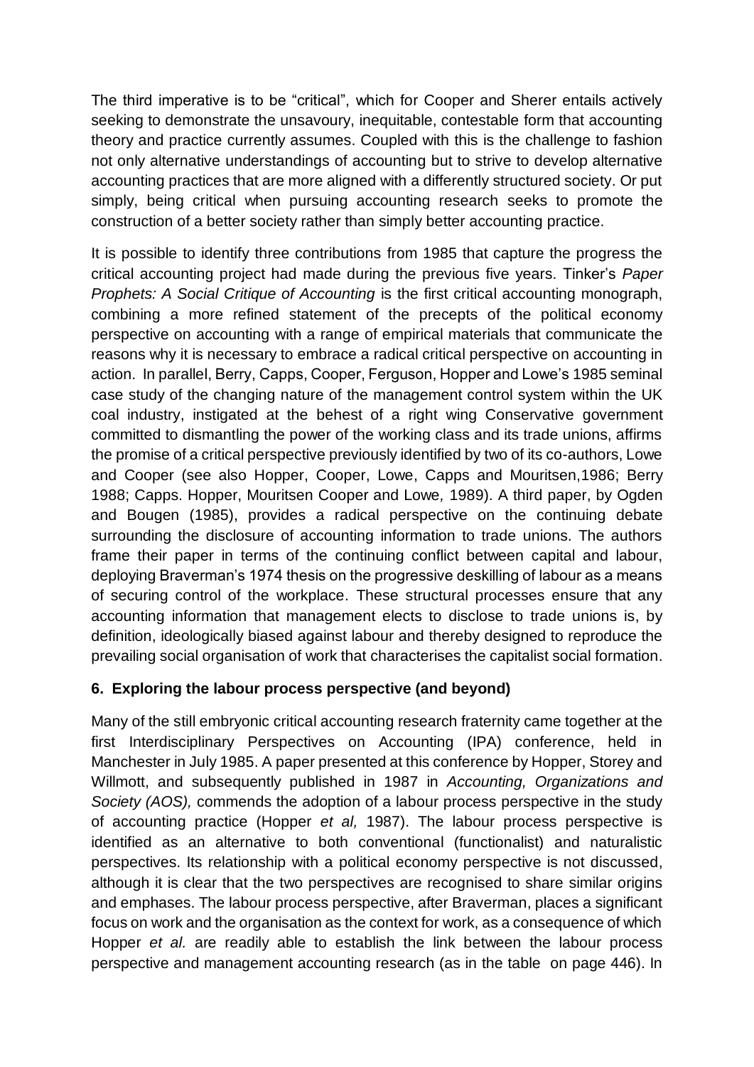The third imperative is to be "critical", which for Cooper and Sherer entails actively seeking to demonstrate the unsavoury, inequitable, contestable form that accounting theory and practice currently assumes. Coupled with this is the challenge to fashion not only alternative understandings of accounting but to strive to develop alternative accounting practices that are more aligned with a differently structured society. Or put simply, being critical when pursuing accounting research seeks to promote the construction of a better society rather than simply better accounting practice.

It is possible to identify three contributions from 1985 that capture the progress the critical accounting project had made during the previous five years. Tinker's *Paper Prophets: A Social Critique of Accounting* is the first critical accounting monograph, combining a more refined statement of the precepts of the political economy perspective on accounting with a range of empirical materials that communicate the reasons why it is necessary to embrace a radical critical perspective on accounting in action. In parallel, Berry, Capps, Cooper, Ferguson, Hopper and Lowe's 1985 seminal case study of the changing nature of the management control system within the UK coal industry, instigated at the behest of a right wing Conservative government committed to dismantling the power of the working class and its trade unions, affirms the promise of a critical perspective previously identified by two of its co-authors, Lowe and Cooper (see also Hopper, Cooper, Lowe, Capps and Mouritsen,1986; Berry 1988; Capps. Hopper, Mouritsen Cooper and Lowe*,* 1989). A third paper, by Ogden and Bougen (1985), provides a radical perspective on the continuing debate surrounding the disclosure of accounting information to trade unions. The authors frame their paper in terms of the continuing conflict between capital and labour, deploying Braverman's 1974 thesis on the progressive deskilling of labour as a means of securing control of the workplace. These structural processes ensure that any accounting information that management elects to disclose to trade unions is, by definition, ideologically biased against labour and thereby designed to reproduce the prevailing social organisation of work that characterises the capitalist social formation.

#### **6. Exploring the labour process perspective (and beyond)**

Many of the still embryonic critical accounting research fraternity came together at the first Interdisciplinary Perspectives on Accounting (IPA) conference, held in Manchester in July 1985. A paper presented at this conference by Hopper, Storey and Willmott, and subsequently published in 1987 in *Accounting, Organizations and Society (AOS),* commends the adoption of a labour process perspective in the study of accounting practice (Hopper *et al,* 1987). The labour process perspective is identified as an alternative to both conventional (functionalist) and naturalistic perspectives. Its relationship with a political economy perspective is not discussed, although it is clear that the two perspectives are recognised to share similar origins and emphases. The labour process perspective, after Braverman, places a significant focus on work and the organisation as the context for work, as a consequence of which Hopper *et al.* are readily able to establish the link between the labour process perspective and management accounting research (as in the table on page 446). In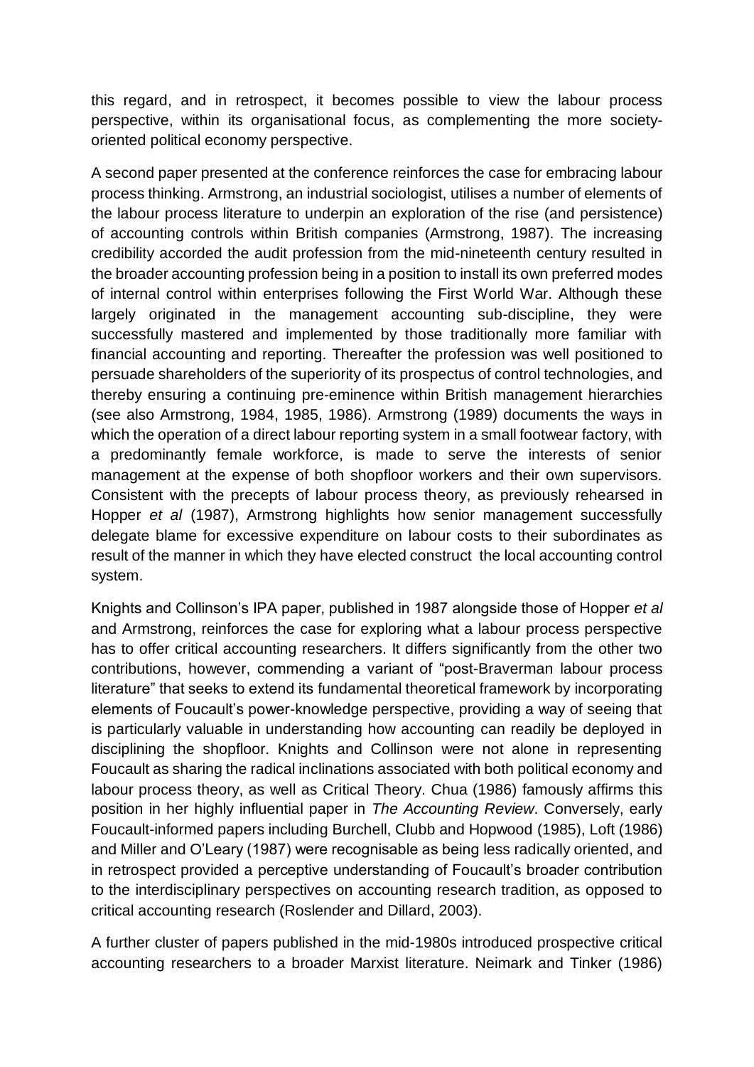this regard, and in retrospect, it becomes possible to view the labour process perspective, within its organisational focus, as complementing the more societyoriented political economy perspective.

A second paper presented at the conference reinforces the case for embracing labour process thinking. Armstrong, an industrial sociologist, utilises a number of elements of the labour process literature to underpin an exploration of the rise (and persistence) of accounting controls within British companies (Armstrong, 1987). The increasing credibility accorded the audit profession from the mid-nineteenth century resulted in the broader accounting profession being in a position to install its own preferred modes of internal control within enterprises following the First World War. Although these largely originated in the management accounting sub-discipline, they were successfully mastered and implemented by those traditionally more familiar with financial accounting and reporting. Thereafter the profession was well positioned to persuade shareholders of the superiority of its prospectus of control technologies, and thereby ensuring a continuing pre-eminence within British management hierarchies (see also Armstrong, 1984, 1985, 1986). Armstrong (1989) documents the ways in which the operation of a direct labour reporting system in a small footwear factory, with a predominantly female workforce, is made to serve the interests of senior management at the expense of both shopfloor workers and their own supervisors. Consistent with the precepts of labour process theory, as previously rehearsed in Hopper *et al* (1987), Armstrong highlights how senior management successfully delegate blame for excessive expenditure on labour costs to their subordinates as result of the manner in which they have elected construct the local accounting control system.

Knights and Collinson's IPA paper, published in 1987 alongside those of Hopper *et al*  and Armstrong, reinforces the case for exploring what a labour process perspective has to offer critical accounting researchers. It differs significantly from the other two contributions, however, commending a variant of "post-Braverman labour process literature" that seeks to extend its fundamental theoretical framework by incorporating elements of Foucault's power-knowledge perspective, providing a way of seeing that is particularly valuable in understanding how accounting can readily be deployed in disciplining the shopfloor. Knights and Collinson were not alone in representing Foucault as sharing the radical inclinations associated with both political economy and labour process theory, as well as Critical Theory. Chua (1986) famously affirms this position in her highly influential paper in *The Accounting Review*. Conversely, early Foucault-informed papers including Burchell, Clubb and Hopwood (1985), Loft (1986) and Miller and O'Leary (1987) were recognisable as being less radically oriented, and in retrospect provided a perceptive understanding of Foucault's broader contribution to the interdisciplinary perspectives on accounting research tradition, as opposed to critical accounting research (Roslender and Dillard, 2003).

A further cluster of papers published in the mid-1980s introduced prospective critical accounting researchers to a broader Marxist literature. Neimark and Tinker (1986)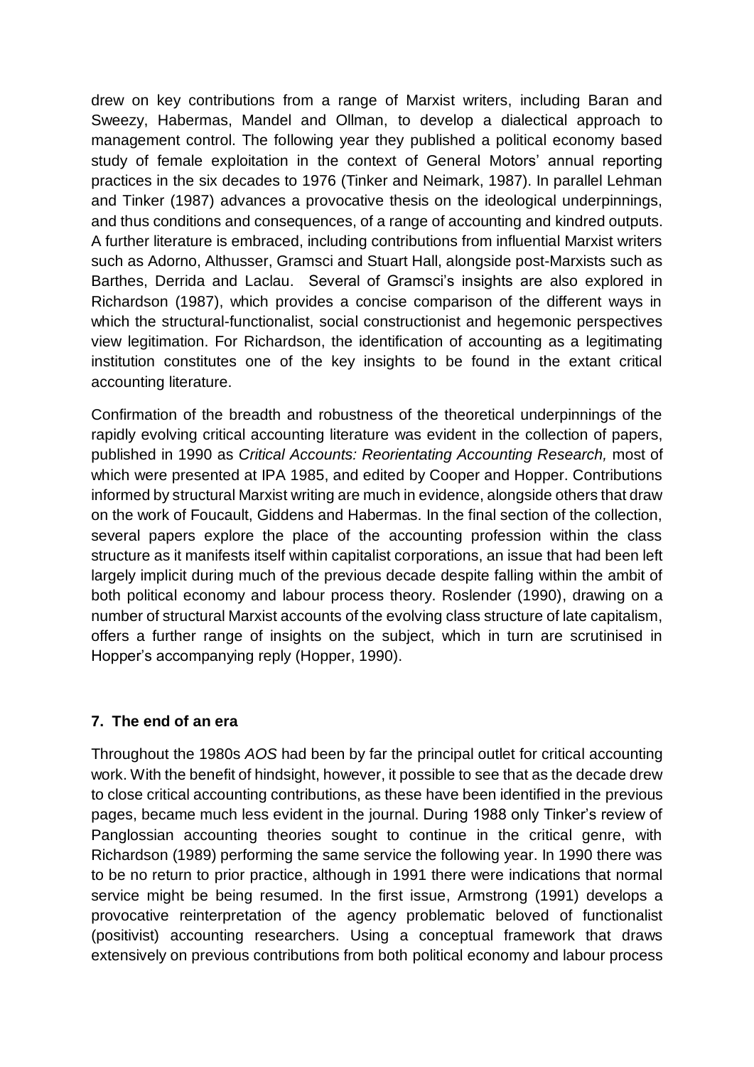drew on key contributions from a range of Marxist writers, including Baran and Sweezy, Habermas, Mandel and Ollman, to develop a dialectical approach to management control. The following year they published a political economy based study of female exploitation in the context of General Motors' annual reporting practices in the six decades to 1976 (Tinker and Neimark, 1987). In parallel Lehman and Tinker (1987) advances a provocative thesis on the ideological underpinnings, and thus conditions and consequences, of a range of accounting and kindred outputs. A further literature is embraced, including contributions from influential Marxist writers such as Adorno, Althusser, Gramsci and Stuart Hall, alongside post-Marxists such as Barthes, Derrida and Laclau. Several of Gramsci's insights are also explored in Richardson (1987), which provides a concise comparison of the different ways in which the structural-functionalist, social constructionist and hegemonic perspectives view legitimation. For Richardson, the identification of accounting as a legitimating institution constitutes one of the key insights to be found in the extant critical accounting literature.

Confirmation of the breadth and robustness of the theoretical underpinnings of the rapidly evolving critical accounting literature was evident in the collection of papers, published in 1990 as *Critical Accounts: Reorientating Accounting Research,* most of which were presented at IPA 1985, and edited by Cooper and Hopper. Contributions informed by structural Marxist writing are much in evidence, alongside others that draw on the work of Foucault, Giddens and Habermas. In the final section of the collection, several papers explore the place of the accounting profession within the class structure as it manifests itself within capitalist corporations, an issue that had been left largely implicit during much of the previous decade despite falling within the ambit of both political economy and labour process theory. Roslender (1990), drawing on a number of structural Marxist accounts of the evolving class structure of late capitalism, offers a further range of insights on the subject, which in turn are scrutinised in Hopper's accompanying reply (Hopper, 1990).

#### **7. The end of an era**

Throughout the 1980s *AOS* had been by far the principal outlet for critical accounting work. With the benefit of hindsight, however, it possible to see that as the decade drew to close critical accounting contributions, as these have been identified in the previous pages, became much less evident in the journal. During 1988 only Tinker's review of Panglossian accounting theories sought to continue in the critical genre, with Richardson (1989) performing the same service the following year. In 1990 there was to be no return to prior practice, although in 1991 there were indications that normal service might be being resumed. In the first issue, Armstrong (1991) develops a provocative reinterpretation of the agency problematic beloved of functionalist (positivist) accounting researchers. Using a conceptual framework that draws extensively on previous contributions from both political economy and labour process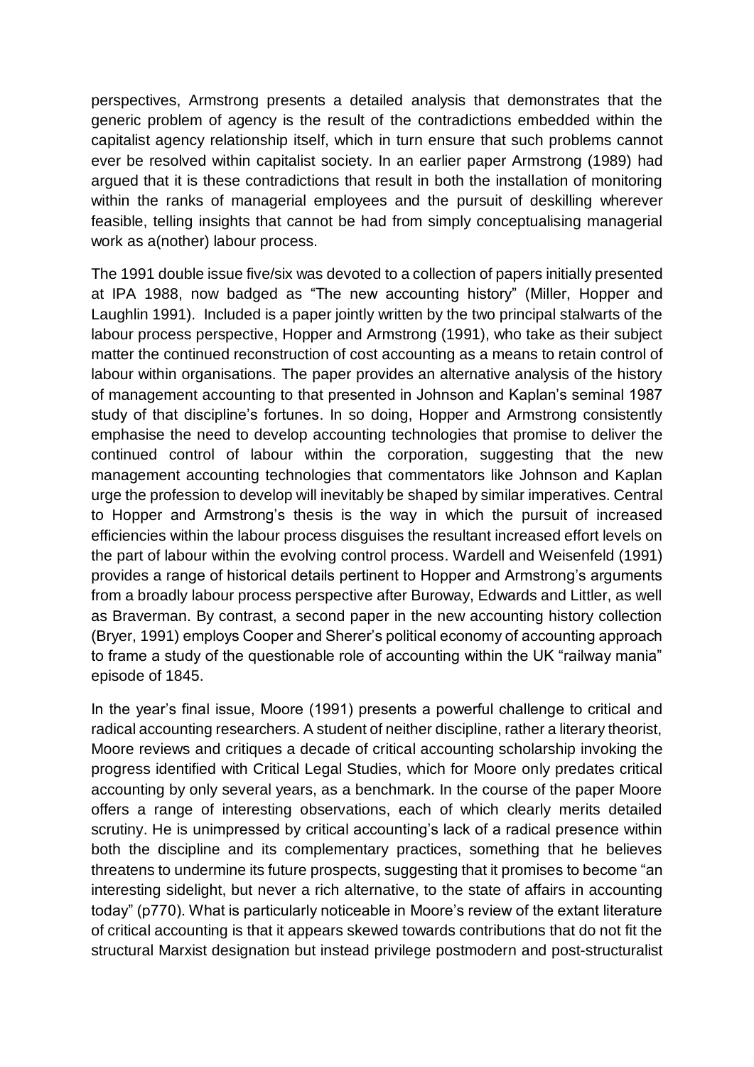perspectives, Armstrong presents a detailed analysis that demonstrates that the generic problem of agency is the result of the contradictions embedded within the capitalist agency relationship itself, which in turn ensure that such problems cannot ever be resolved within capitalist society. In an earlier paper Armstrong (1989) had argued that it is these contradictions that result in both the installation of monitoring within the ranks of managerial employees and the pursuit of deskilling wherever feasible, telling insights that cannot be had from simply conceptualising managerial work as a(nother) labour process.

The 1991 double issue five/six was devoted to a collection of papers initially presented at IPA 1988, now badged as "The new accounting history" (Miller, Hopper and Laughlin 1991). Included is a paper jointly written by the two principal stalwarts of the labour process perspective, Hopper and Armstrong (1991), who take as their subject matter the continued reconstruction of cost accounting as a means to retain control of labour within organisations. The paper provides an alternative analysis of the history of management accounting to that presented in Johnson and Kaplan's seminal 1987 study of that discipline's fortunes. In so doing, Hopper and Armstrong consistently emphasise the need to develop accounting technologies that promise to deliver the continued control of labour within the corporation, suggesting that the new management accounting technologies that commentators like Johnson and Kaplan urge the profession to develop will inevitably be shaped by similar imperatives. Central to Hopper and Armstrong's thesis is the way in which the pursuit of increased efficiencies within the labour process disguises the resultant increased effort levels on the part of labour within the evolving control process. Wardell and Weisenfeld (1991) provides a range of historical details pertinent to Hopper and Armstrong's arguments from a broadly labour process perspective after Buroway, Edwards and Littler, as well as Braverman. By contrast, a second paper in the new accounting history collection (Bryer, 1991) employs Cooper and Sherer's political economy of accounting approach to frame a study of the questionable role of accounting within the UK "railway mania" episode of 1845.

In the year's final issue, Moore (1991) presents a powerful challenge to critical and radical accounting researchers. A student of neither discipline, rather a literary theorist, Moore reviews and critiques a decade of critical accounting scholarship invoking the progress identified with Critical Legal Studies, which for Moore only predates critical accounting by only several years, as a benchmark. In the course of the paper Moore offers a range of interesting observations, each of which clearly merits detailed scrutiny. He is unimpressed by critical accounting's lack of a radical presence within both the discipline and its complementary practices, something that he believes threatens to undermine its future prospects, suggesting that it promises to become "an interesting sidelight, but never a rich alternative, to the state of affairs in accounting today" (p770). What is particularly noticeable in Moore's review of the extant literature of critical accounting is that it appears skewed towards contributions that do not fit the structural Marxist designation but instead privilege postmodern and post-structuralist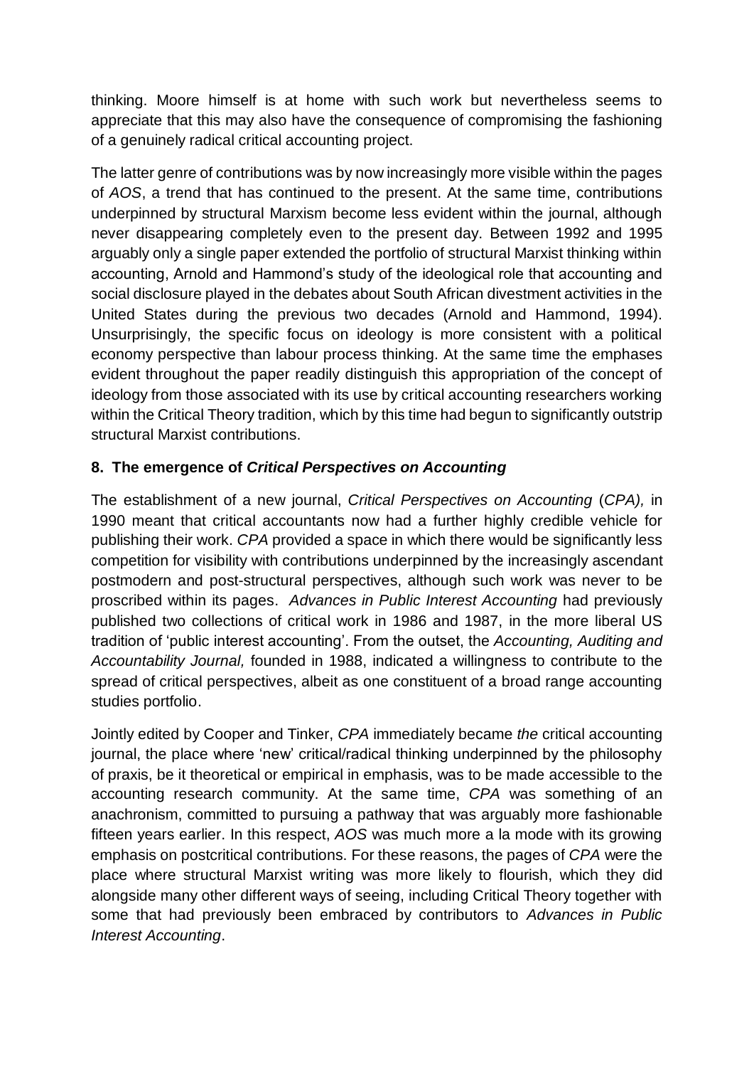thinking. Moore himself is at home with such work but nevertheless seems to appreciate that this may also have the consequence of compromising the fashioning of a genuinely radical critical accounting project.

The latter genre of contributions was by now increasingly more visible within the pages of *AOS*, a trend that has continued to the present. At the same time, contributions underpinned by structural Marxism become less evident within the journal, although never disappearing completely even to the present day. Between 1992 and 1995 arguably only a single paper extended the portfolio of structural Marxist thinking within accounting, Arnold and Hammond's study of the ideological role that accounting and social disclosure played in the debates about South African divestment activities in the United States during the previous two decades (Arnold and Hammond, 1994). Unsurprisingly, the specific focus on ideology is more consistent with a political economy perspective than labour process thinking. At the same time the emphases evident throughout the paper readily distinguish this appropriation of the concept of ideology from those associated with its use by critical accounting researchers working within the Critical Theory tradition, which by this time had begun to significantly outstrip structural Marxist contributions.

### **8. The emergence of** *Critical Perspectives on Accounting*

The establishment of a new journal, *Critical Perspectives on Accounting* (*CPA),* in 1990 meant that critical accountants now had a further highly credible vehicle for publishing their work. *CPA* provided a space in which there would be significantly less competition for visibility with contributions underpinned by the increasingly ascendant postmodern and post-structural perspectives, although such work was never to be proscribed within its pages. *Advances in Public Interest Accounting* had previously published two collections of critical work in 1986 and 1987, in the more liberal US tradition of 'public interest accounting'. From the outset, the *Accounting, Auditing and Accountability Journal,* founded in 1988, indicated a willingness to contribute to the spread of critical perspectives, albeit as one constituent of a broad range accounting studies portfolio.

Jointly edited by Cooper and Tinker, *CPA* immediately became *the* critical accounting journal, the place where 'new' critical/radical thinking underpinned by the philosophy of praxis, be it theoretical or empirical in emphasis, was to be made accessible to the accounting research community. At the same time, *CPA* was something of an anachronism, committed to pursuing a pathway that was arguably more fashionable fifteen years earlier. In this respect, *AOS* was much more a la mode with its growing emphasis on postcritical contributions. For these reasons, the pages of *CPA* were the place where structural Marxist writing was more likely to flourish, which they did alongside many other different ways of seeing, including Critical Theory together with some that had previously been embraced by contributors to *Advances in Public Interest Accounting*.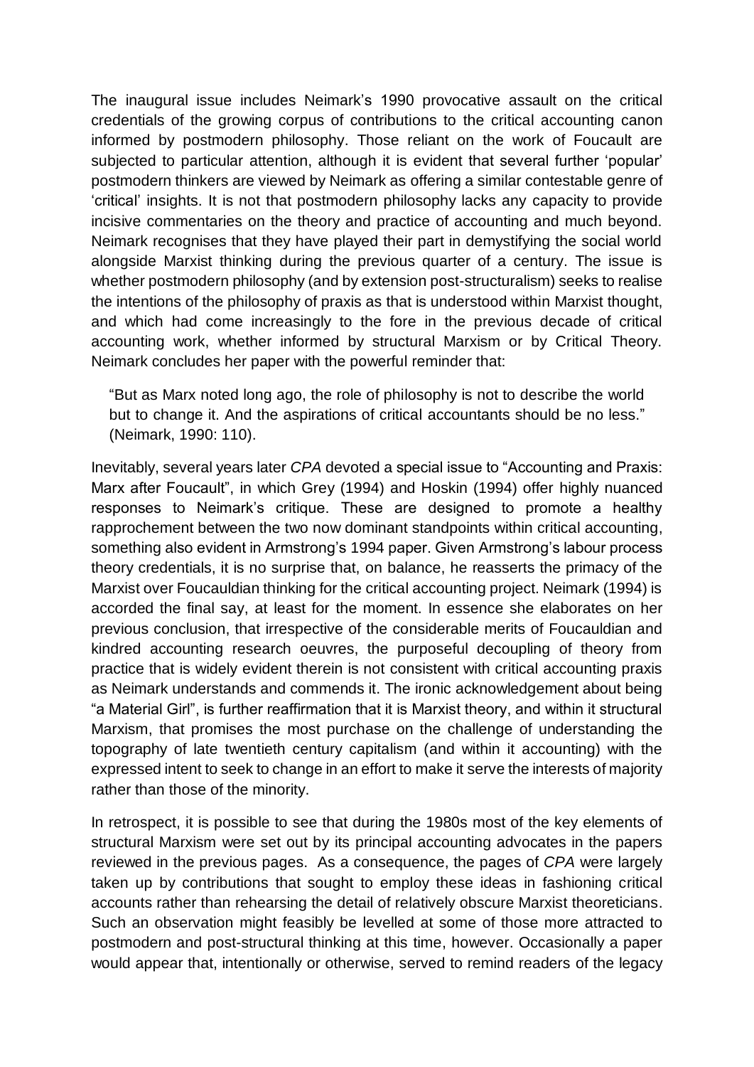The inaugural issue includes Neimark's 1990 provocative assault on the critical credentials of the growing corpus of contributions to the critical accounting canon informed by postmodern philosophy. Those reliant on the work of Foucault are subjected to particular attention, although it is evident that several further 'popular' postmodern thinkers are viewed by Neimark as offering a similar contestable genre of 'critical' insights. It is not that postmodern philosophy lacks any capacity to provide incisive commentaries on the theory and practice of accounting and much beyond. Neimark recognises that they have played their part in demystifying the social world alongside Marxist thinking during the previous quarter of a century. The issue is whether postmodern philosophy (and by extension post-structuralism) seeks to realise the intentions of the philosophy of praxis as that is understood within Marxist thought, and which had come increasingly to the fore in the previous decade of critical accounting work, whether informed by structural Marxism or by Critical Theory. Neimark concludes her paper with the powerful reminder that:

"But as Marx noted long ago, the role of philosophy is not to describe the world but to change it. And the aspirations of critical accountants should be no less." (Neimark, 1990: 110).

Inevitably, several years later *CPA* devoted a special issue to "Accounting and Praxis: Marx after Foucault", in which Grey (1994) and Hoskin (1994) offer highly nuanced responses to Neimark's critique. These are designed to promote a healthy rapprochement between the two now dominant standpoints within critical accounting, something also evident in Armstrong's 1994 paper. Given Armstrong's labour process theory credentials, it is no surprise that, on balance, he reasserts the primacy of the Marxist over Foucauldian thinking for the critical accounting project. Neimark (1994) is accorded the final say, at least for the moment. In essence she elaborates on her previous conclusion, that irrespective of the considerable merits of Foucauldian and kindred accounting research oeuvres, the purposeful decoupling of theory from practice that is widely evident therein is not consistent with critical accounting praxis as Neimark understands and commends it. The ironic acknowledgement about being "a Material Girl", is further reaffirmation that it is Marxist theory, and within it structural Marxism, that promises the most purchase on the challenge of understanding the topography of late twentieth century capitalism (and within it accounting) with the expressed intent to seek to change in an effort to make it serve the interests of majority rather than those of the minority.

In retrospect, it is possible to see that during the 1980s most of the key elements of structural Marxism were set out by its principal accounting advocates in the papers reviewed in the previous pages. As a consequence, the pages of *CPA* were largely taken up by contributions that sought to employ these ideas in fashioning critical accounts rather than rehearsing the detail of relatively obscure Marxist theoreticians. Such an observation might feasibly be levelled at some of those more attracted to postmodern and post-structural thinking at this time, however. Occasionally a paper would appear that, intentionally or otherwise, served to remind readers of the legacy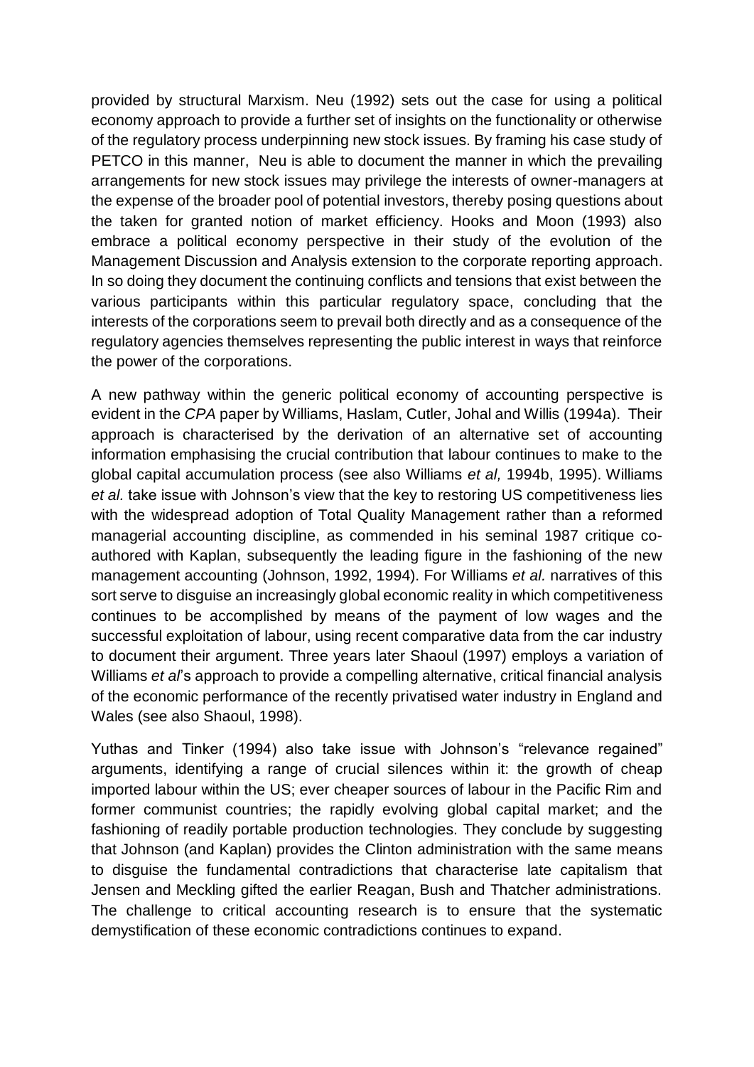provided by structural Marxism. Neu (1992) sets out the case for using a political economy approach to provide a further set of insights on the functionality or otherwise of the regulatory process underpinning new stock issues. By framing his case study of PETCO in this manner, Neu is able to document the manner in which the prevailing arrangements for new stock issues may privilege the interests of owner-managers at the expense of the broader pool of potential investors, thereby posing questions about the taken for granted notion of market efficiency. Hooks and Moon (1993) also embrace a political economy perspective in their study of the evolution of the Management Discussion and Analysis extension to the corporate reporting approach. In so doing they document the continuing conflicts and tensions that exist between the various participants within this particular regulatory space, concluding that the interests of the corporations seem to prevail both directly and as a consequence of the regulatory agencies themselves representing the public interest in ways that reinforce the power of the corporations.

A new pathway within the generic political economy of accounting perspective is evident in the *CPA* paper by Williams, Haslam, Cutler, Johal and Willis (1994a). Their approach is characterised by the derivation of an alternative set of accounting information emphasising the crucial contribution that labour continues to make to the global capital accumulation process (see also Williams *et al,* 1994b, 1995). Williams *et al.* take issue with Johnson's view that the key to restoring US competitiveness lies with the widespread adoption of Total Quality Management rather than a reformed managerial accounting discipline, as commended in his seminal 1987 critique coauthored with Kaplan, subsequently the leading figure in the fashioning of the new management accounting (Johnson, 1992, 1994). For Williams *et al.* narratives of this sort serve to disguise an increasingly global economic reality in which competitiveness continues to be accomplished by means of the payment of low wages and the successful exploitation of labour, using recent comparative data from the car industry to document their argument. Three years later Shaoul (1997) employs a variation of Williams *et al*'s approach to provide a compelling alternative, critical financial analysis of the economic performance of the recently privatised water industry in England and Wales (see also Shaoul, 1998).

Yuthas and Tinker (1994) also take issue with Johnson's "relevance regained" arguments, identifying a range of crucial silences within it: the growth of cheap imported labour within the US; ever cheaper sources of labour in the Pacific Rim and former communist countries; the rapidly evolving global capital market; and the fashioning of readily portable production technologies. They conclude by suggesting that Johnson (and Kaplan) provides the Clinton administration with the same means to disguise the fundamental contradictions that characterise late capitalism that Jensen and Meckling gifted the earlier Reagan, Bush and Thatcher administrations. The challenge to critical accounting research is to ensure that the systematic demystification of these economic contradictions continues to expand.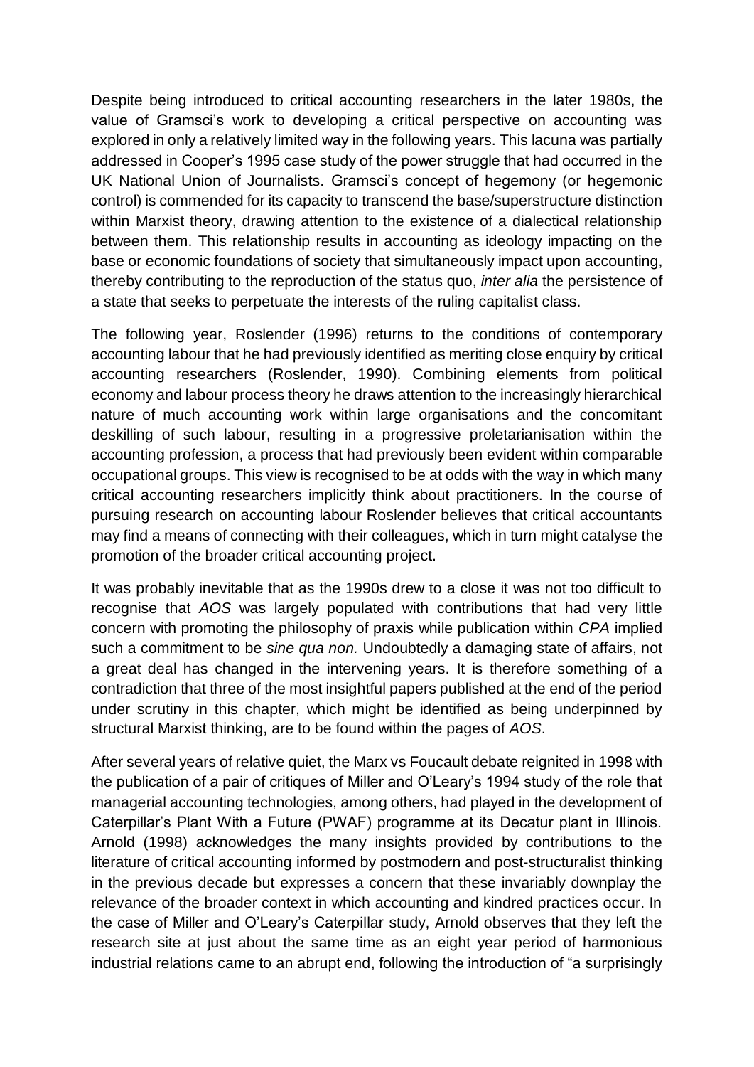Despite being introduced to critical accounting researchers in the later 1980s, the value of Gramsci's work to developing a critical perspective on accounting was explored in only a relatively limited way in the following years. This lacuna was partially addressed in Cooper's 1995 case study of the power struggle that had occurred in the UK National Union of Journalists. Gramsci's concept of hegemony (or hegemonic control) is commended for its capacity to transcend the base/superstructure distinction within Marxist theory, drawing attention to the existence of a dialectical relationship between them. This relationship results in accounting as ideology impacting on the base or economic foundations of society that simultaneously impact upon accounting, thereby contributing to the reproduction of the status quo, *inter alia* the persistence of a state that seeks to perpetuate the interests of the ruling capitalist class.

The following year, Roslender (1996) returns to the conditions of contemporary accounting labour that he had previously identified as meriting close enquiry by critical accounting researchers (Roslender, 1990). Combining elements from political economy and labour process theory he draws attention to the increasingly hierarchical nature of much accounting work within large organisations and the concomitant deskilling of such labour, resulting in a progressive proletarianisation within the accounting profession, a process that had previously been evident within comparable occupational groups. This view is recognised to be at odds with the way in which many critical accounting researchers implicitly think about practitioners. In the course of pursuing research on accounting labour Roslender believes that critical accountants may find a means of connecting with their colleagues, which in turn might catalyse the promotion of the broader critical accounting project.

It was probably inevitable that as the 1990s drew to a close it was not too difficult to recognise that *AOS* was largely populated with contributions that had very little concern with promoting the philosophy of praxis while publication within *CPA* implied such a commitment to be *sine qua non.* Undoubtedly a damaging state of affairs, not a great deal has changed in the intervening years. It is therefore something of a contradiction that three of the most insightful papers published at the end of the period under scrutiny in this chapter, which might be identified as being underpinned by structural Marxist thinking, are to be found within the pages of *AOS*.

After several years of relative quiet, the Marx vs Foucault debate reignited in 1998 with the publication of a pair of critiques of Miller and O'Leary's 1994 study of the role that managerial accounting technologies, among others, had played in the development of Caterpillar's Plant With a Future (PWAF) programme at its Decatur plant in Illinois. Arnold (1998) acknowledges the many insights provided by contributions to the literature of critical accounting informed by postmodern and post-structuralist thinking in the previous decade but expresses a concern that these invariably downplay the relevance of the broader context in which accounting and kindred practices occur. In the case of Miller and O'Leary's Caterpillar study, Arnold observes that they left the research site at just about the same time as an eight year period of harmonious industrial relations came to an abrupt end, following the introduction of "a surprisingly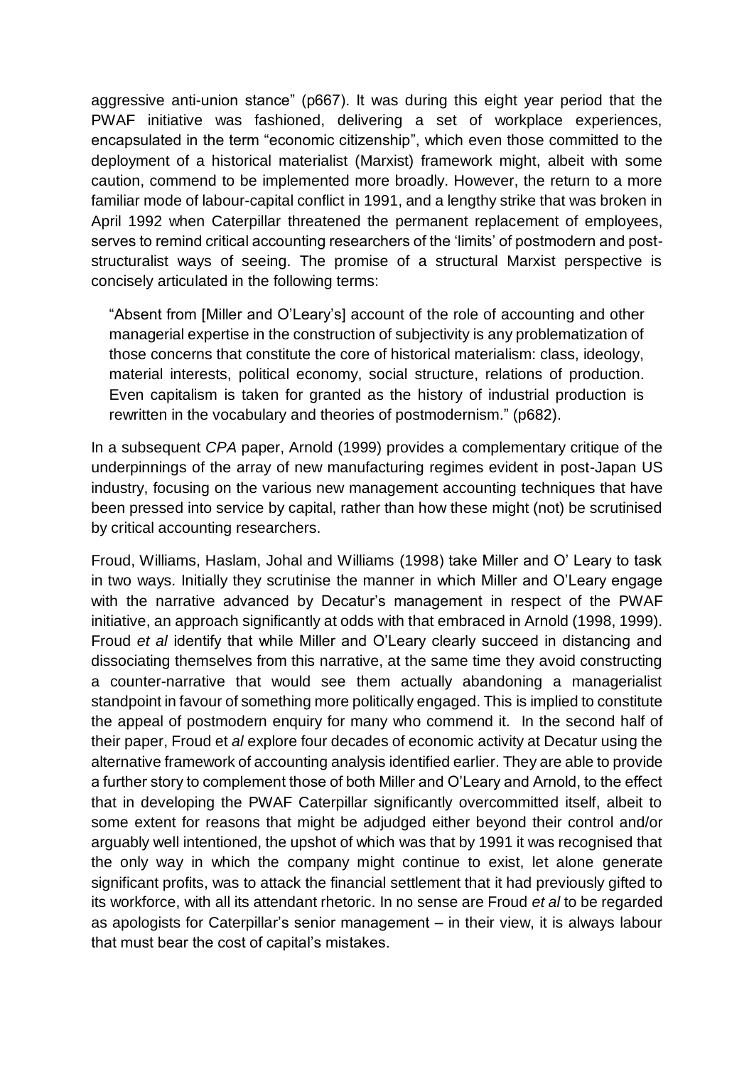aggressive anti-union stance" (p667). It was during this eight year period that the PWAF initiative was fashioned, delivering a set of workplace experiences, encapsulated in the term "economic citizenship", which even those committed to the deployment of a historical materialist (Marxist) framework might, albeit with some caution, commend to be implemented more broadly. However, the return to a more familiar mode of labour-capital conflict in 1991, and a lengthy strike that was broken in April 1992 when Caterpillar threatened the permanent replacement of employees, serves to remind critical accounting researchers of the 'limits' of postmodern and poststructuralist ways of seeing. The promise of a structural Marxist perspective is concisely articulated in the following terms:

"Absent from [Miller and O'Leary's] account of the role of accounting and other managerial expertise in the construction of subjectivity is any problematization of those concerns that constitute the core of historical materialism: class, ideology, material interests, political economy, social structure, relations of production. Even capitalism is taken for granted as the history of industrial production is rewritten in the vocabulary and theories of postmodernism." (p682).

In a subsequent *CPA* paper, Arnold (1999) provides a complementary critique of the underpinnings of the array of new manufacturing regimes evident in post-Japan US industry, focusing on the various new management accounting techniques that have been pressed into service by capital, rather than how these might (not) be scrutinised by critical accounting researchers.

Froud, Williams, Haslam, Johal and Williams (1998) take Miller and O' Leary to task in two ways. Initially they scrutinise the manner in which Miller and O'Leary engage with the narrative advanced by Decatur's management in respect of the PWAF initiative, an approach significantly at odds with that embraced in Arnold (1998, 1999). Froud *et al* identify that while Miller and O'Leary clearly succeed in distancing and dissociating themselves from this narrative, at the same time they avoid constructing a counter-narrative that would see them actually abandoning a managerialist standpoint in favour of something more politically engaged. This is implied to constitute the appeal of postmodern enquiry for many who commend it. In the second half of their paper, Froud et *al* explore four decades of economic activity at Decatur using the alternative framework of accounting analysis identified earlier. They are able to provide a further story to complement those of both Miller and O'Leary and Arnold, to the effect that in developing the PWAF Caterpillar significantly overcommitted itself, albeit to some extent for reasons that might be adjudged either beyond their control and/or arguably well intentioned, the upshot of which was that by 1991 it was recognised that the only way in which the company might continue to exist, let alone generate significant profits, was to attack the financial settlement that it had previously gifted to its workforce, with all its attendant rhetoric. In no sense are Froud *et al* to be regarded as apologists for Caterpillar's senior management – in their view, it is always labour that must bear the cost of capital's mistakes.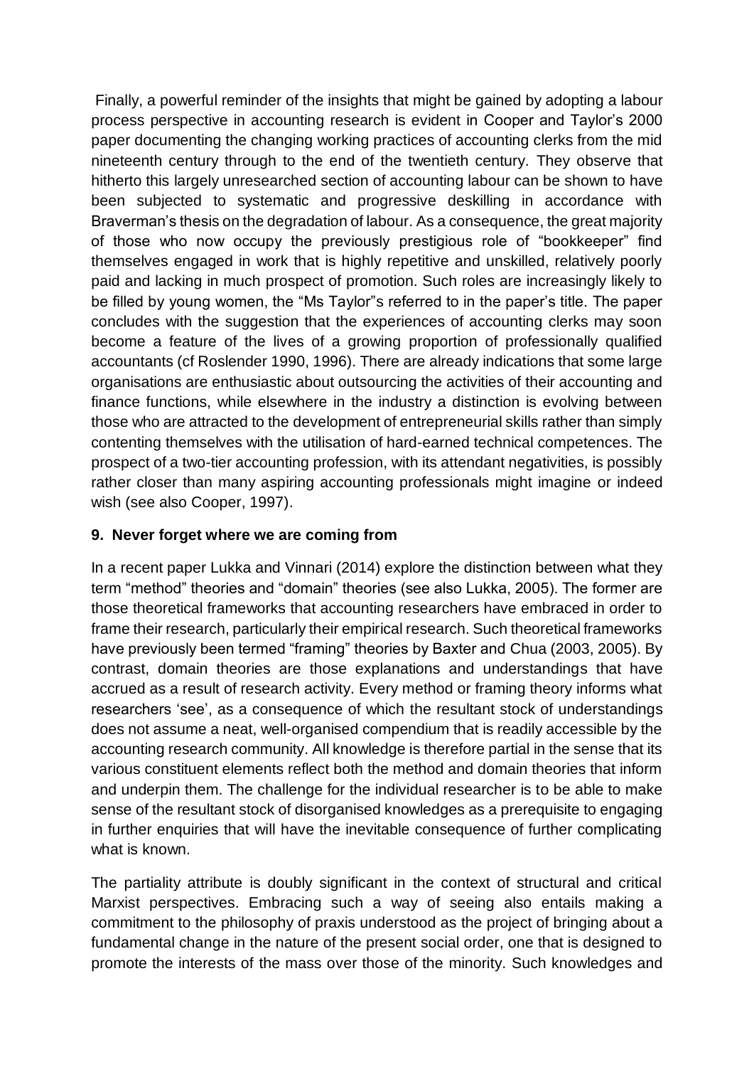Finally, a powerful reminder of the insights that might be gained by adopting a labour process perspective in accounting research is evident in Cooper and Taylor's 2000 paper documenting the changing working practices of accounting clerks from the mid nineteenth century through to the end of the twentieth century. They observe that hitherto this largely unresearched section of accounting labour can be shown to have been subjected to systematic and progressive deskilling in accordance with Braverman's thesis on the degradation of labour. As a consequence, the great majority of those who now occupy the previously prestigious role of "bookkeeper" find themselves engaged in work that is highly repetitive and unskilled, relatively poorly paid and lacking in much prospect of promotion. Such roles are increasingly likely to be filled by young women, the "Ms Taylor"s referred to in the paper's title. The paper concludes with the suggestion that the experiences of accounting clerks may soon become a feature of the lives of a growing proportion of professionally qualified accountants (cf Roslender 1990, 1996). There are already indications that some large organisations are enthusiastic about outsourcing the activities of their accounting and finance functions, while elsewhere in the industry a distinction is evolving between those who are attracted to the development of entrepreneurial skills rather than simply contenting themselves with the utilisation of hard-earned technical competences. The prospect of a two-tier accounting profession, with its attendant negativities, is possibly rather closer than many aspiring accounting professionals might imagine or indeed wish (see also Cooper, 1997).

#### **9. Never forget where we are coming from**

In a recent paper Lukka and Vinnari (2014) explore the distinction between what they term "method" theories and "domain" theories (see also Lukka, 2005). The former are those theoretical frameworks that accounting researchers have embraced in order to frame their research, particularly their empirical research. Such theoretical frameworks have previously been termed "framing" theories by Baxter and Chua (2003, 2005). By contrast, domain theories are those explanations and understandings that have accrued as a result of research activity. Every method or framing theory informs what researchers 'see', as a consequence of which the resultant stock of understandings does not assume a neat, well-organised compendium that is readily accessible by the accounting research community. All knowledge is therefore partial in the sense that its various constituent elements reflect both the method and domain theories that inform and underpin them. The challenge for the individual researcher is to be able to make sense of the resultant stock of disorganised knowledges as a prerequisite to engaging in further enquiries that will have the inevitable consequence of further complicating what is known.

The partiality attribute is doubly significant in the context of structural and critical Marxist perspectives. Embracing such a way of seeing also entails making a commitment to the philosophy of praxis understood as the project of bringing about a fundamental change in the nature of the present social order, one that is designed to promote the interests of the mass over those of the minority. Such knowledges and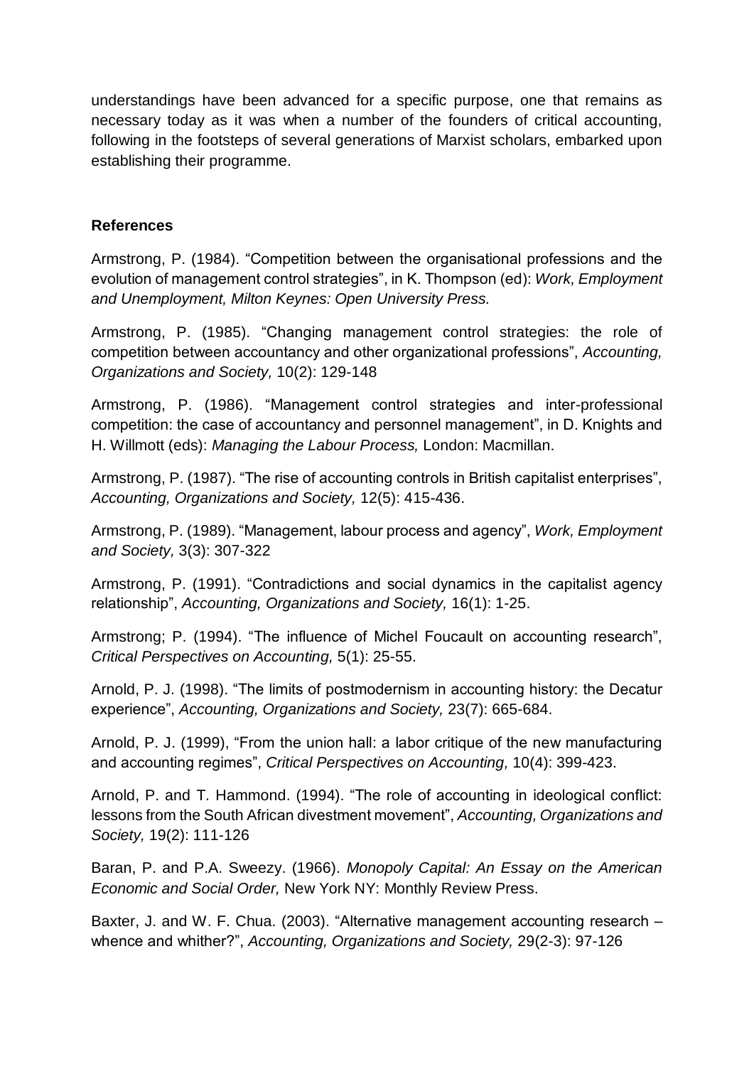understandings have been advanced for a specific purpose, one that remains as necessary today as it was when a number of the founders of critical accounting, following in the footsteps of several generations of Marxist scholars, embarked upon establishing their programme.

#### **References**

Armstrong, P. (1984). "Competition between the organisational professions and the evolution of management control strategies", in K. Thompson (ed): *Work, Employment and Unemployment, Milton Keynes: Open University Press.*

Armstrong, P. (1985). "Changing management control strategies: the role of competition between accountancy and other organizational professions", *Accounting, Organizations and Society,* 10(2): 129-148

Armstrong, P. (1986). "Management control strategies and inter-professional competition: the case of accountancy and personnel management", in D. Knights and H. Willmott (eds): *Managing the Labour Process,* London: Macmillan.

Armstrong, P. (1987). "The rise of accounting controls in British capitalist enterprises", *Accounting, Organizations and Society,* 12(5): 415-436.

Armstrong, P. (1989). "Management, labour process and agency", *Work, Employment and Society,* 3(3): 307-322

Armstrong, P. (1991). "Contradictions and social dynamics in the capitalist agency relationship", *Accounting, Organizations and Society,* 16(1): 1-25.

Armstrong; P. (1994). "The influence of Michel Foucault on accounting research", *Critical Perspectives on Accounting,* 5(1): 25-55.

Arnold, P. J. (1998). "The limits of postmodernism in accounting history: the Decatur experience", *Accounting, Organizations and Society,* 23(7): 665-684.

Arnold, P. J. (1999), "From the union hall: a labor critique of the new manufacturing and accounting regimes", *Critical Perspectives on Accounting,* 10(4): 399-423.

Arnold, P. and T. Hammond. (1994). "The role of accounting in ideological conflict: lessons from the South African divestment movement", *Accounting, Organizations and Society,* 19(2): 111-126

Baran, P. and P.A. Sweezy. (1966). *Monopoly Capital: An Essay on the American Economic and Social Order,* New York NY: Monthly Review Press.

Baxter, J. and W. F. Chua. (2003). "Alternative management accounting research – whence and whither?", *Accounting, Organizations and Society,* 29(2-3): 97-126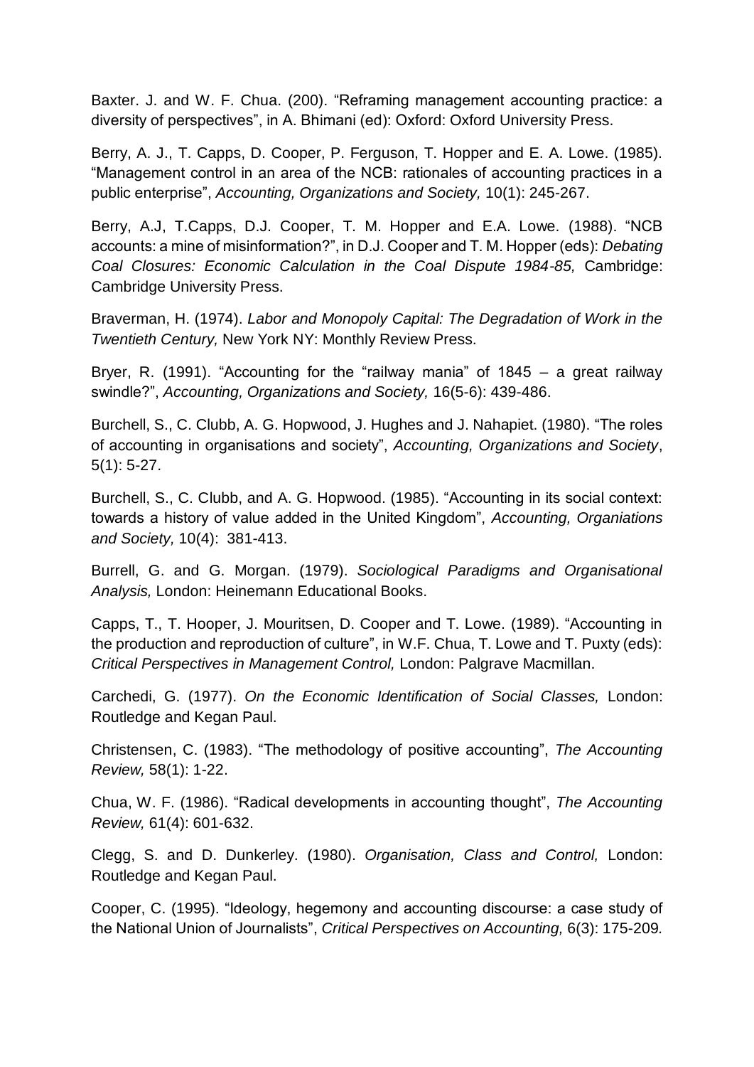Baxter. J. and W. F. Chua. (200). "Reframing management accounting practice: a diversity of perspectives", in A. Bhimani (ed): Oxford: Oxford University Press.

Berry, A. J., T. Capps, D. Cooper, P. Ferguson, T. Hopper and E. A. Lowe. (1985). "Management control in an area of the NCB: rationales of accounting practices in a public enterprise", *Accounting, Organizations and Society,* 10(1): 245-267.

Berry, A.J, T.Capps, D.J. Cooper, T. M. Hopper and E.A. Lowe. (1988). "NCB accounts: a mine of misinformation?", in D.J. Cooper and T. M. Hopper (eds): *Debating Coal Closures: Economic Calculation in the Coal Dispute 1984-85,* Cambridge: Cambridge University Press.

Braverman, H. (1974). *Labor and Monopoly Capital: The Degradation of Work in the Twentieth Century,* New York NY: Monthly Review Press.

Bryer, R. (1991). "Accounting for the "railway mania" of 1845 – a great railway swindle?", *Accounting, Organizations and Society,* 16(5-6): 439-486.

Burchell, S., C. Clubb, A. G. Hopwood, J. Hughes and J. Nahapiet. (1980). "The roles of accounting in organisations and society", *Accounting, Organizations and Society*, 5(1): 5-27.

Burchell, S., C. Clubb, and A. G. Hopwood. (1985). "Accounting in its social context: towards a history of value added in the United Kingdom", *Accounting, Organiations and Society,* 10(4): 381-413.

Burrell, G. and G. Morgan. (1979). *Sociological Paradigms and Organisational Analysis,* London: Heinemann Educational Books.

Capps, T., T. Hooper, J. Mouritsen, D. Cooper and T. Lowe. (1989). "Accounting in the production and reproduction of culture", in W.F. Chua, T. Lowe and T. Puxty (eds): *Critical Perspectives in Management Control,* London: Palgrave Macmillan.

Carchedi, G. (1977). *On the Economic Identification of Social Classes,* London: Routledge and Kegan Paul.

Christensen, C. (1983). "The methodology of positive accounting", *The Accounting Review,* 58(1): 1-22.

Chua, W. F. (1986). "Radical developments in accounting thought", *The Accounting Review,* 61(4): 601-632.

Clegg, S. and D. Dunkerley. (1980). *Organisation, Class and Control,* London: Routledge and Kegan Paul.

Cooper, C. (1995). "Ideology, hegemony and accounting discourse: a case study of the National Union of Journalists", *Critical Perspectives on Accounting,* 6(3): 175-209*.*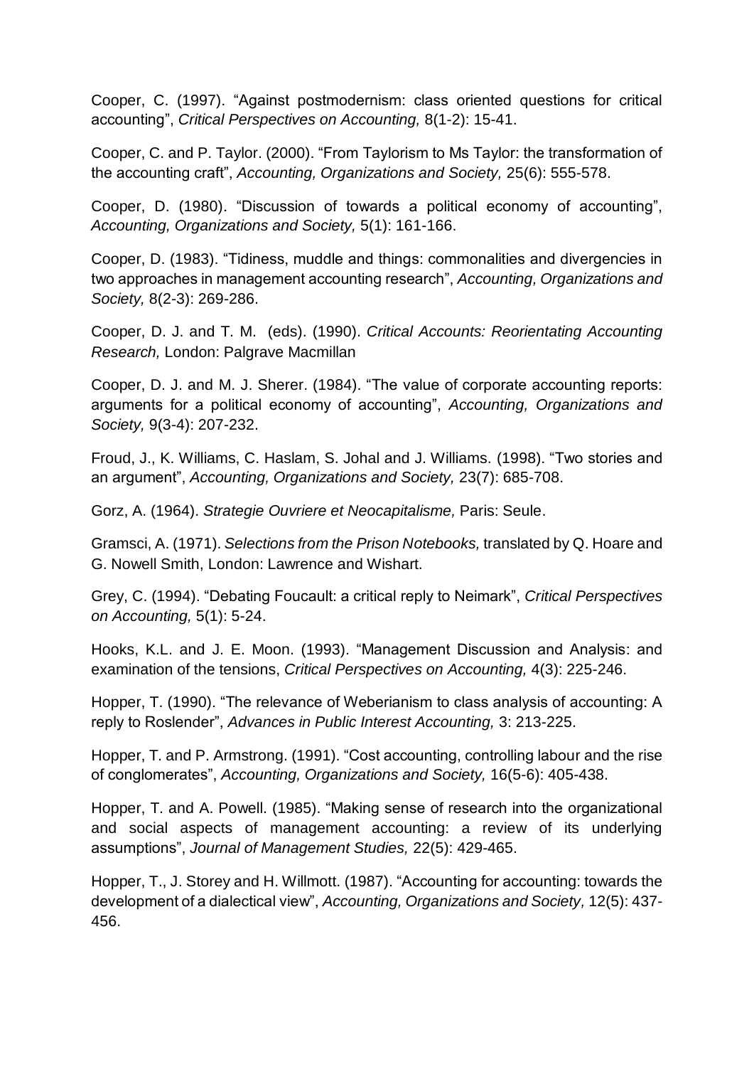Cooper, C. (1997). "Against postmodernism: class oriented questions for critical accounting", *Critical Perspectives on Accounting,* 8(1-2): 15-41.

Cooper, C. and P. Taylor. (2000). "From Taylorism to Ms Taylor: the transformation of the accounting craft", *Accounting, Organizations and Society,* 25(6): 555-578.

Cooper, D. (1980). "Discussion of towards a political economy of accounting", *Accounting, Organizations and Society,* 5(1): 161-166.

Cooper, D. (1983). "Tidiness, muddle and things: commonalities and divergencies in two approaches in management accounting research", *Accounting, Organizations and Society,* 8(2-3): 269-286.

Cooper, D. J. and T. M. (eds). (1990). *Critical Accounts: Reorientating Accounting Research,* London: Palgrave Macmillan

Cooper, D. J. and M. J. Sherer. (1984). "The value of corporate accounting reports: arguments for a political economy of accounting", *Accounting, Organizations and Society,* 9(3-4): 207-232.

Froud, J., K. Williams, C. Haslam, S. Johal and J. Williams. (1998). "Two stories and an argument", *Accounting, Organizations and Society,* 23(7): 685-708.

Gorz, A. (1964). *Strategie Ouvriere et Neocapitalisme,* Paris: Seule.

Gramsci, A. (1971). *Selections from the Prison Notebooks,* translated by Q. Hoare and G. Nowell Smith, London: Lawrence and Wishart.

Grey, C. (1994). "Debating Foucault: a critical reply to Neimark", *Critical Perspectives on Accounting,* 5(1): 5-24.

Hooks, K.L. and J. E. Moon. (1993). "Management Discussion and Analysis: and examination of the tensions, *Critical Perspectives on Accounting,* 4(3): 225-246.

Hopper, T. (1990). "The relevance of Weberianism to class analysis of accounting: A reply to Roslender", *Advances in Public Interest Accounting,* 3: 213-225.

Hopper, T. and P. Armstrong. (1991). "Cost accounting, controlling labour and the rise of conglomerates", *Accounting, Organizations and Society,* 16(5-6): 405-438.

Hopper, T. and A. Powell. (1985). "Making sense of research into the organizational and social aspects of management accounting: a review of its underlying assumptions", *Journal of Management Studies,* 22(5): 429-465.

Hopper, T., J. Storey and H. Willmott. (1987). "Accounting for accounting: towards the development of a dialectical view", *Accounting, Organizations and Society,* 12(5): 437- 456.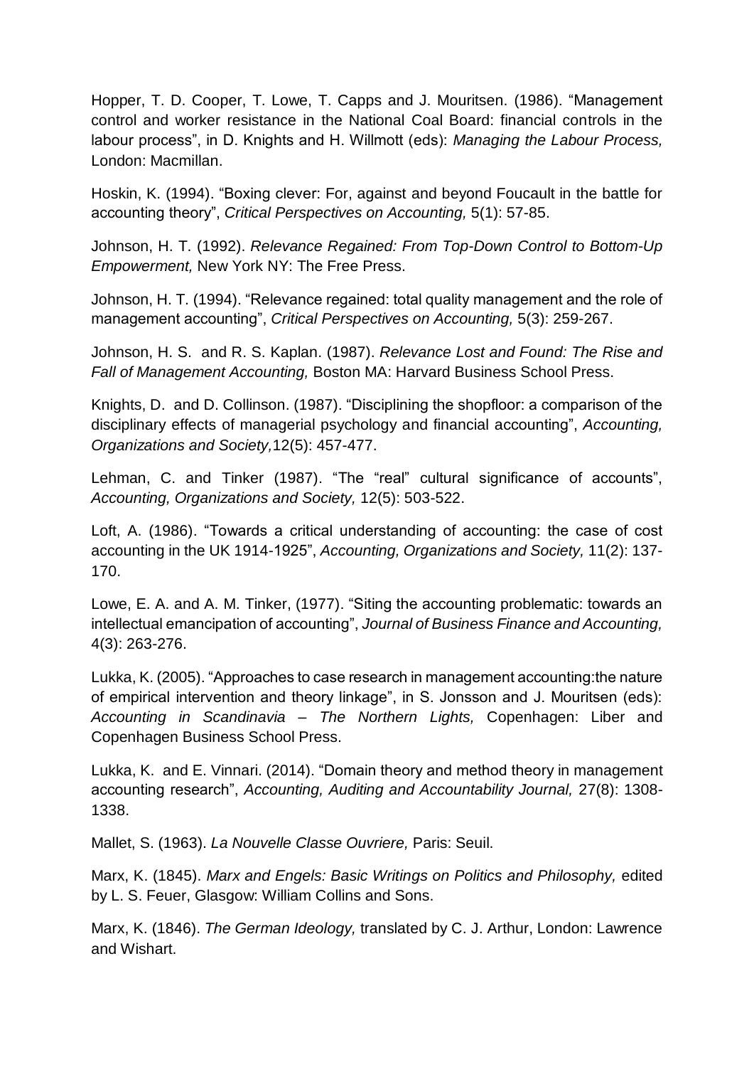Hopper, T. D. Cooper, T. Lowe, T. Capps and J. Mouritsen. (1986). "Management control and worker resistance in the National Coal Board: financial controls in the labour process", in D. Knights and H. Willmott (eds): *Managing the Labour Process,*  London: Macmillan.

Hoskin, K. (1994). "Boxing clever: For, against and beyond Foucault in the battle for accounting theory", *Critical Perspectives on Accounting,* 5(1): 57-85.

Johnson, H. T. (1992). *Relevance Regained: From Top-Down Control to Bottom-Up Empowerment,* New York NY: The Free Press.

Johnson, H. T. (1994). "Relevance regained: total quality management and the role of management accounting", *Critical Perspectives on Accounting,* 5(3): 259-267.

Johnson, H. S. and R. S. Kaplan. (1987). *Relevance Lost and Found: The Rise and Fall of Management Accounting,* Boston MA: Harvard Business School Press.

Knights, D. and D. Collinson. (1987). "Disciplining the shopfloor: a comparison of the disciplinary effects of managerial psychology and financial accounting", *Accounting, Organizations and Society,*12(5): 457-477.

Lehman, C. and Tinker (1987). "The "real" cultural significance of accounts", *Accounting, Organizations and Society,* 12(5): 503-522.

Loft, A. (1986). "Towards a critical understanding of accounting: the case of cost accounting in the UK 1914-1925", *Accounting, Organizations and Society,* 11(2): 137- 170.

Lowe, E. A. and A. M. Tinker, (1977). "Siting the accounting problematic: towards an intellectual emancipation of accounting", *Journal of Business Finance and Accounting,*  4(3): 263-276.

Lukka, K. (2005). "Approaches to case research in management accounting:the nature of empirical intervention and theory linkage", in S. Jonsson and J. Mouritsen (eds): *Accounting in Scandinavia – The Northern Lights,* Copenhagen: Liber and Copenhagen Business School Press.

Lukka, K. and E. Vinnari. (2014). "Domain theory and method theory in management accounting research", *Accounting, Auditing and Accountability Journal,* 27(8): 1308- 1338.

Mallet, S. (1963). *La Nouvelle Classe Ouvriere,* Paris: Seuil.

Marx, K. (1845). *Marx and Engels: Basic Writings on Politics and Philosophy,* edited by L. S. Feuer, Glasgow: William Collins and Sons.

Marx, K. (1846). *The German Ideology,* translated by C. J. Arthur, London: Lawrence and Wishart.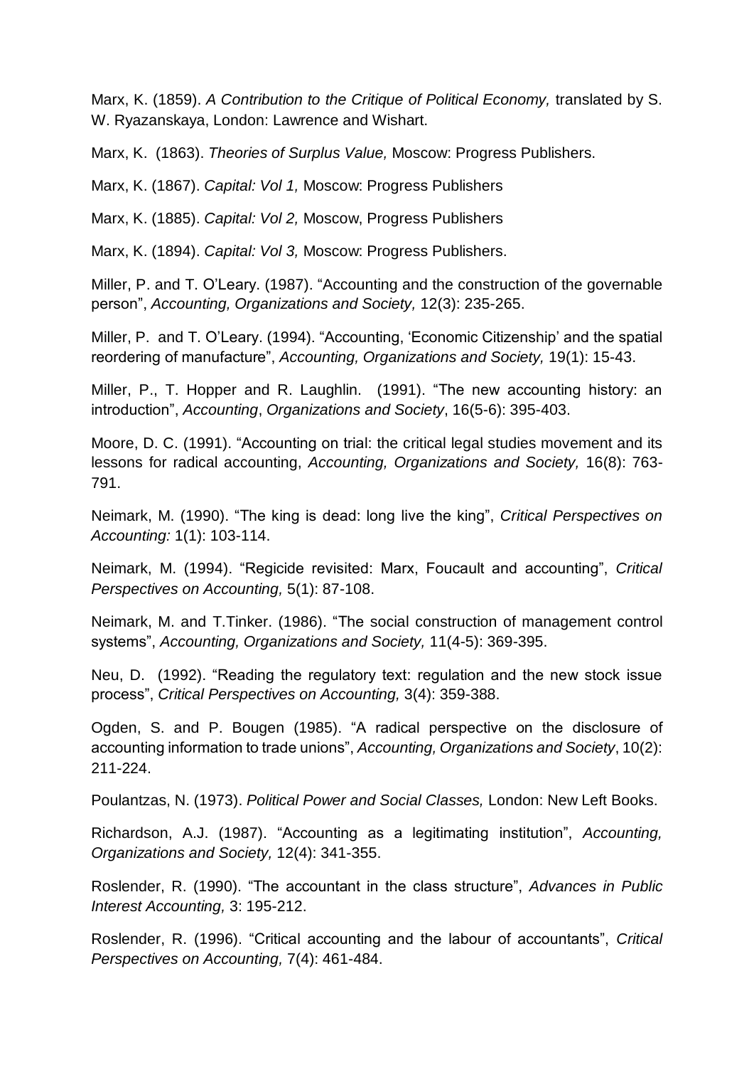Marx, K. (1859). *A Contribution to the Critique of Political Economy,* translated by S. W. Ryazanskaya, London: Lawrence and Wishart.

Marx, K. (1863). *Theories of Surplus Value,* Moscow: Progress Publishers.

Marx, K. (1867). *Capital: Vol 1,* Moscow: Progress Publishers

Marx, K. (1885). *Capital: Vol 2,* Moscow, Progress Publishers

Marx, K. (1894). *Capital: Vol 3,* Moscow: Progress Publishers.

Miller, P. and T. O'Leary. (1987). "Accounting and the construction of the governable person", *Accounting, Organizations and Society,* 12(3): 235-265.

Miller, P. and T. O'Leary. (1994). "Accounting, 'Economic Citizenship' and the spatial reordering of manufacture", *Accounting, Organizations and Society,* 19(1): 15-43.

Miller, P., T. Hopper and R. Laughlin. (1991). "The new accounting history: an introduction", *Accounting*, *Organizations and Society*, 16(5-6): 395-403.

Moore, D. C. (1991). "Accounting on trial: the critical legal studies movement and its lessons for radical accounting, *Accounting, Organizations and Society,* 16(8): 763- 791.

Neimark, M. (1990). "The king is dead: long live the king", *Critical Perspectives on Accounting:* 1(1): 103-114.

Neimark, M. (1994). "Regicide revisited: Marx, Foucault and accounting", *Critical Perspectives on Accounting,* 5(1): 87-108.

Neimark, M. and T.Tinker. (1986). "The social construction of management control systems", *Accounting, Organizations and Society,* 11(4-5): 369-395.

Neu, D. (1992). "Reading the regulatory text: regulation and the new stock issue process", *Critical Perspectives on Accounting,* 3(4): 359-388.

Ogden, S. and P. Bougen (1985). "A radical perspective on the disclosure of accounting information to trade unions", *Accounting, Organizations and Society*, 10(2): 211-224.

Poulantzas, N. (1973). *Political Power and Social Classes,* London: New Left Books.

Richardson, A.J. (1987). "Accounting as a legitimating institution", *Accounting, Organizations and Society,* 12(4): 341-355.

Roslender, R. (1990). "The accountant in the class structure", *Advances in Public Interest Accounting,* 3: 195-212.

Roslender, R. (1996). "Critical accounting and the labour of accountants", *Critical Perspectives on Accounting,* 7(4): 461-484.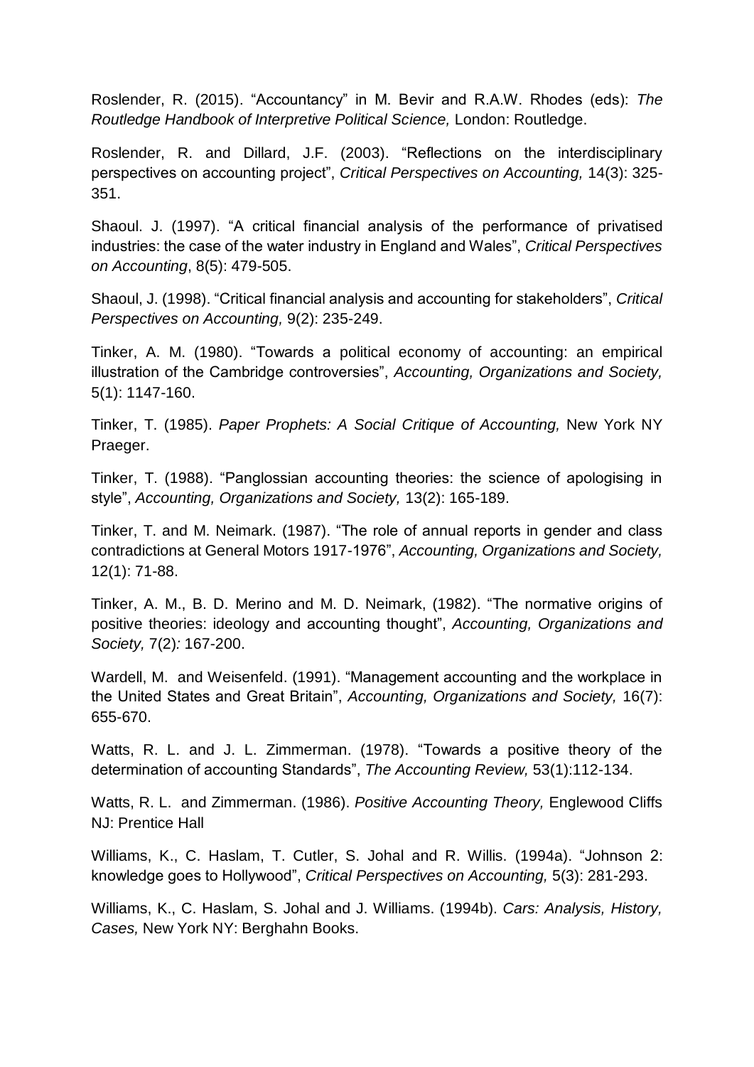Roslender, R. (2015). "Accountancy" in M. Bevir and R.A.W. Rhodes (eds): *The Routledge Handbook of Interpretive Political Science,* London: Routledge.

Roslender, R. and Dillard, J.F. (2003). "Reflections on the interdisciplinary perspectives on accounting project", *Critical Perspectives on Accounting,* 14(3): 325- 351.

Shaoul. J. (1997). "A critical financial analysis of the performance of privatised industries: the case of the water industry in England and Wales", *Critical Perspectives on Accounting*, 8(5): 479-505.

Shaoul, J. (1998). "Critical financial analysis and accounting for stakeholders", *Critical Perspectives on Accounting,* 9(2): 235-249.

Tinker, A. M. (1980). "Towards a political economy of accounting: an empirical illustration of the Cambridge controversies", *Accounting, Organizations and Society,*  5(1): 1147-160.

Tinker, T. (1985). *Paper Prophets: A Social Critique of Accounting,* New York NY Praeger.

Tinker, T. (1988). "Panglossian accounting theories: the science of apologising in style", *Accounting, Organizations and Society,* 13(2): 165-189.

Tinker, T. and M. Neimark. (1987). "The role of annual reports in gender and class contradictions at General Motors 1917-1976", *Accounting, Organizations and Society,*  12(1): 71-88.

Tinker, A. M., B. D. Merino and M. D. Neimark, (1982). "The normative origins of positive theories: ideology and accounting thought", *Accounting, Organizations and Society,* 7(2)*:* 167-200.

Wardell, M. and Weisenfeld. (1991). "Management accounting and the workplace in the United States and Great Britain", *Accounting, Organizations and Society,* 16(7): 655-670.

Watts, R. L. and J. L. Zimmerman. (1978). "Towards a positive theory of the determination of accounting Standards", *The Accounting Review,* 53(1):112-134.

Watts, R. L. and Zimmerman. (1986). *Positive Accounting Theory,* Englewood Cliffs NJ: Prentice Hall

Williams, K., C. Haslam, T. Cutler, S. Johal and R. Willis. (1994a). "Johnson 2: knowledge goes to Hollywood", *Critical Perspectives on Accounting,* 5(3): 281-293.

Williams, K., C. Haslam, S. Johal and J. Williams. (1994b). *Cars: Analysis, History, Cases,* New York NY: Berghahn Books.